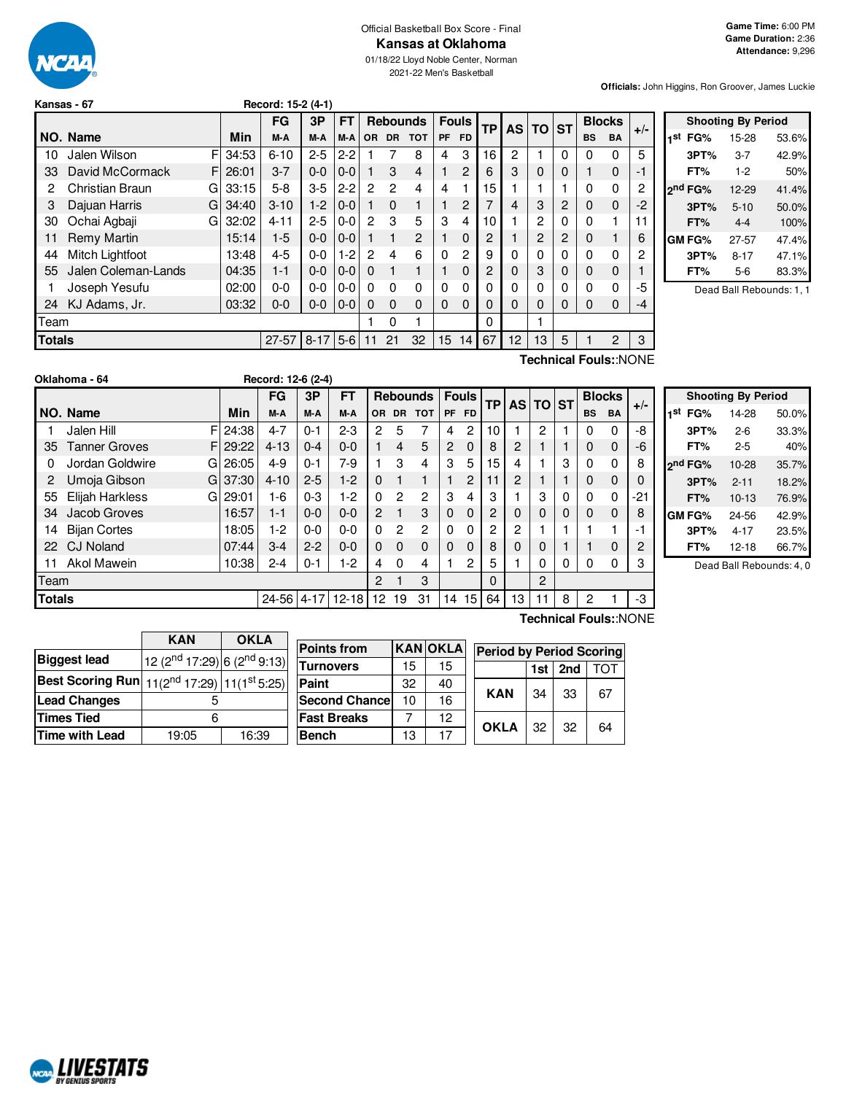

#### Official Basketball Box Score - Final **Kansas at Oklahoma**

2021-22 Men's Basketball

**Officials:** John Higgins, Ron Groover, James Luckie

|               | Kansas - 67           |    |       | Record: 15-2 (4-1) |            |         |           |           |                 |           |                |           |                |           |           |           |                |       |
|---------------|-----------------------|----|-------|--------------------|------------|---------|-----------|-----------|-----------------|-----------|----------------|-----------|----------------|-----------|-----------|-----------|----------------|-------|
|               |                       |    |       | FG                 | 3P         | FT      |           |           | <b>Rebounds</b> |           | <b>Fouls</b>   | <b>TP</b> | <b>AS</b>      | <b>TO</b> | <b>ST</b> |           | <b>Blocks</b>  |       |
|               | NO. Name              |    | Min   | M-A                | M-A        | M-A     | <b>OR</b> | <b>DR</b> | <b>TOT</b>      | <b>PF</b> | <b>FD</b>      |           |                |           |           | <b>BS</b> | <b>BA</b>      | $+/-$ |
| 10            | Jalen Wilson          | F  | 34:53 | $6 - 10$           | $2 - 5$    | $2 - 2$ |           |           | 8               | 4         | 3              | 16        | $\overline{c}$ |           | 0         | 0         | 0              | 5     |
| 33            | David McCormack       | F  | 26:01 | $3 - 7$            | $0 - 0$    | $0 - 0$ |           | 3         | $\overline{4}$  |           | $\overline{c}$ | 6         | 3              | 0         | 0         |           | $\mathbf 0$    | -1    |
| 2             | Christian Braun       | G  | 33:15 | $5-8$              | $3-5$      | $2 - 2$ | 2         | 2         | 4               | 4         |                | 15        |                |           |           | 0         | 0              | 2     |
| 3             | Dajuan Harris         | GI | 34:40 | $3 - 10$           | $1-2$      | $0 - 0$ |           | $\Omega$  | 1               |           | 2              |           | 4              | 3         | 2         | 0         | $\mathbf 0$    | $-2$  |
| 30            | Ochai Agbaji          | G  | 32:02 | $4 - 11$           | $2 - 5$    | $0 - 0$ | 2         | 3         | 5               | 3         | 4              | 10        |                | 2         | $\Omega$  | 0         | 1              | 11    |
| 11            | Remy Martin           |    | 15:14 | $1-5$              | $0 - 0$    | $0 - 0$ |           |           | $\overline{2}$  |           | $\Omega$       | 2         |                | 2         | 2         | 0         |                | 6     |
| 44            | Mitch Lightfoot       |    | 13:48 | $4 - 5$            | $0-0$      | $1-2$   | 2         | 4         | 6               | 0         | 2              | 9         | 0              | 0         | 0         | 0         | 0              | 2     |
| 55            | Jalen Coleman-Lands   |    | 04:35 | $1 - 1$            | $0 - 0$    | $0 - 0$ | $\Omega$  |           | 1               | 1         | $\Omega$       | 2         | 0              | 3         | 0         | 0         | $\mathbf 0$    |       |
|               | Joseph Yesufu         |    | 02:00 | $0 - 0$            | $0-0$      | $0-0$   | $\Omega$  | $\Omega$  | 0               | 0         | $\Omega$       | 0         | 0              | 0         | 0         | 0         | 0              | -5    |
| 24            | KJ Adams, Jr.         |    | 03:32 | $0-0$              | $0 - 0$    | $0 - 0$ | $\Omega$  | $\Omega$  | $\Omega$        | $\Omega$  | $\Omega$       | 0         | 0              | 0         | 0         | $\Omega$  | 0              | $-4$  |
| <b>Team</b>   |                       |    |       |                    |            |         |           | 0         |                 |           |                | 0         |                |           |           |           |                |       |
| <b>Totals</b> |                       |    |       | $27 - 57$          | $8-17$ 5-6 |         | 11        | 21        | 32              | 15        | 14             | 67        | 12             | 13        | 5         |           | $\overline{2}$ | 3     |
|               | Technical Fouls::NONE |    |       |                    |            |         |           |           |                 |           |                |           |                |           |           |           |                |       |

|     |                     | <b>Shooting By Period</b> |       |
|-----|---------------------|---------------------------|-------|
| 1st | FG%                 | 15-28                     | 53.6% |
|     | 3PT%                | $3 - 7$                   | 42.9% |
|     | FT%                 | $1-2$                     | 50%   |
|     | 2 <sup>nd</sup> FG% | 12-29                     | 41.4% |
|     | 3PT%                | $5 - 10$                  | 50.0% |
|     | FT%                 | $4 - 4$                   | 100%  |
|     | GM FG%              | 27-57                     | 47.4% |
|     | 3PT%                | $8 - 17$                  | 47.1% |
|     | FT%                 | 5-6                       | 83.3% |

Dead Ball Rebounds: 1, 1

|                      |     |                | Record: 12-6 (2-4)                                                              |           |                  |           |            |                 |              |                    |                       |                |   |           |              |               |
|----------------------|-----|----------------|---------------------------------------------------------------------------------|-----------|------------------|-----------|------------|-----------------|--------------|--------------------|-----------------------|----------------|---|-----------|--------------|---------------|
|                      |     | <b>FG</b>      | 3P                                                                              | <b>FT</b> |                  |           |            |                 |              |                    |                       |                |   |           |              | $+/-$         |
| NO. Name             | Min | M-A            | M-A                                                                             | M-A       | OR.              | <b>DR</b> | <b>TOT</b> | <b>PF</b>       | FD.          |                    |                       |                |   | <b>BS</b> | <b>BA</b>    |               |
| Jalen Hill           |     | $4 - 7$        | $0 - 1$                                                                         | $2 - 3$   | 2                | 5         | 7          | 4               | 2            | 10                 |                       | 2              |   | 0         | 0            | -8            |
| <b>Tanner Groves</b> |     | $4 - 13$       | $0 - 4$                                                                         | $0 - 0$   |                  | 4         | 5          | $\overline{2}$  | 0            | 8                  | 2                     |                |   | 0         | $\mathbf 0$  | -6            |
| Jordan Goldwire      |     | $4 - 9$        | $0 - 1$                                                                         | 7-9       |                  | 3         | 4          | 3               | 5            | 15 <sub>1</sub>    | 4                     |                | 3 | 0         | 0            | 8             |
| Umoja Gibson         |     | $4 - 10$       | $2 - 5$                                                                         | $1-2$     | $\Omega$         |           |            |                 | 2            | 11                 | 2                     |                |   | 0         | $\mathbf{0}$ |               |
| Elijah Harkless      |     | $1-6$          | $0 - 3$                                                                         | $1-2$     | $\Omega$         | 2         | 2          | 3               | 4            | 3                  |                       | 3              | 0 | $\Omega$  | 0            | -21           |
| Jacob Groves         |     | $1 - 1$        | $0 - 0$                                                                         | $0-0$     | $\overline{2}$   |           | 3          | $\mathbf 0$     | 0            | 2                  | 0                     | 0              | 0 | 0         | $\mathbf 0$  | 8             |
| <b>Bijan Cortes</b>  |     | 1-2            | $0-0$                                                                           | $0-0$     | 0                | 2         | 2          | $\Omega$        | 0            | 2                  | 2                     |                |   |           |              | -1            |
| <b>CJ Noland</b>     |     | $3-4$          | $2 - 2$                                                                         | $0-0$     | $\Omega$         | $\Omega$  | 0          | $\Omega$        | $\mathbf{0}$ | 8                  | 0                     | 0              |   |           | $\mathbf{0}$ | 2             |
| Akol Mawein          |     | $2 - 4$        | $0 - 1$                                                                         | $1-2$     | 4                | $\Omega$  | 4          |                 | 2            | 5                  |                       | 0              | 0 | 0         | 0            | 3             |
| Team                 |     |                |                                                                                 |           | $\mathcal{P}$    |           | 3          |                 |              | $\Omega$           |                       | $\overline{c}$ |   |           |              |               |
| Totals               |     |                |                                                                                 |           | 12 <sup>°</sup>  | 19        | 31         |                 |              | 64                 | 13                    |                | 8 | 2         |              | -3            |
|                      |     | FI<br>GI<br>GI | 24:38<br>29:22<br>G126:05<br>37:30<br>29:01<br>16:57<br>18:05<br>07:44<br>10:38 |           | 24-56 4-17 12-18 |           |            | <b>Rebounds</b> |              | <b>Fouls</b><br>14 | ТP<br>15 <sub>l</sub> |                |   | AS TO ST  |              | <b>Blocks</b> |

|     |                     | <b>Shooting By Period</b> |       |
|-----|---------------------|---------------------------|-------|
| 1st | FG%                 | 14-28                     | 50.0% |
|     | 3PT%                | $2 - 6$                   | 33.3% |
|     | FT%                 | $2 - 5$                   | 40%   |
|     | 2 <sup>nd</sup> FG% | 10-28                     | 35.7% |
|     | 3PT%                | $2 - 11$                  | 18.2% |
|     | FT%                 | $10-13$                   | 76.9% |
|     | GM FG%              | 24-56                     | 42.9% |
|     | 3PT%                | 4-17                      | 23.5% |
|     | FT%                 | 12-18                     | 66.7% |

Dead Ball Rebounds: 4, 0

|                                                                     | <b>KAN</b>                        | <b>OKLA</b> |
|---------------------------------------------------------------------|-----------------------------------|-------------|
| <b>Biggest lead</b>                                                 | 12 ( $2nd$ 17:29) 6 ( $2nd$ 9:13) |             |
| <b>Best Scoring Run</b> $11(2^{nd} 17:29)$ 11(1 <sup>st</sup> 5:25) |                                   |             |
| <b>Lead Changes</b>                                                 |                                   |             |
| <b>Times Tied</b>                                                   |                                   |             |
| Time with Lead                                                      | 19:05                             | 16:39       |

| <b>Points from</b>   |    | <b>KANOKLA</b> | <b>Period by Period Scoring</b> |     |     |    |  |  |  |
|----------------------|----|----------------|---------------------------------|-----|-----|----|--|--|--|
| <b>Turnovers</b>     | 15 | 15             |                                 | 1st | 2nd |    |  |  |  |
| Paint                | 32 | 40             |                                 |     |     |    |  |  |  |
| <b>Second Chance</b> | 10 | 16             | <b>KAN</b>                      | 34  | 33  | 67 |  |  |  |
| <b>Fast Breaks</b>   |    | 12             | <b>OKLA</b>                     | 32  | 32  |    |  |  |  |
| <b>Bench</b>         | 13 | 17             |                                 |     |     | 64 |  |  |  |

**Technical Fouls:**:NONE

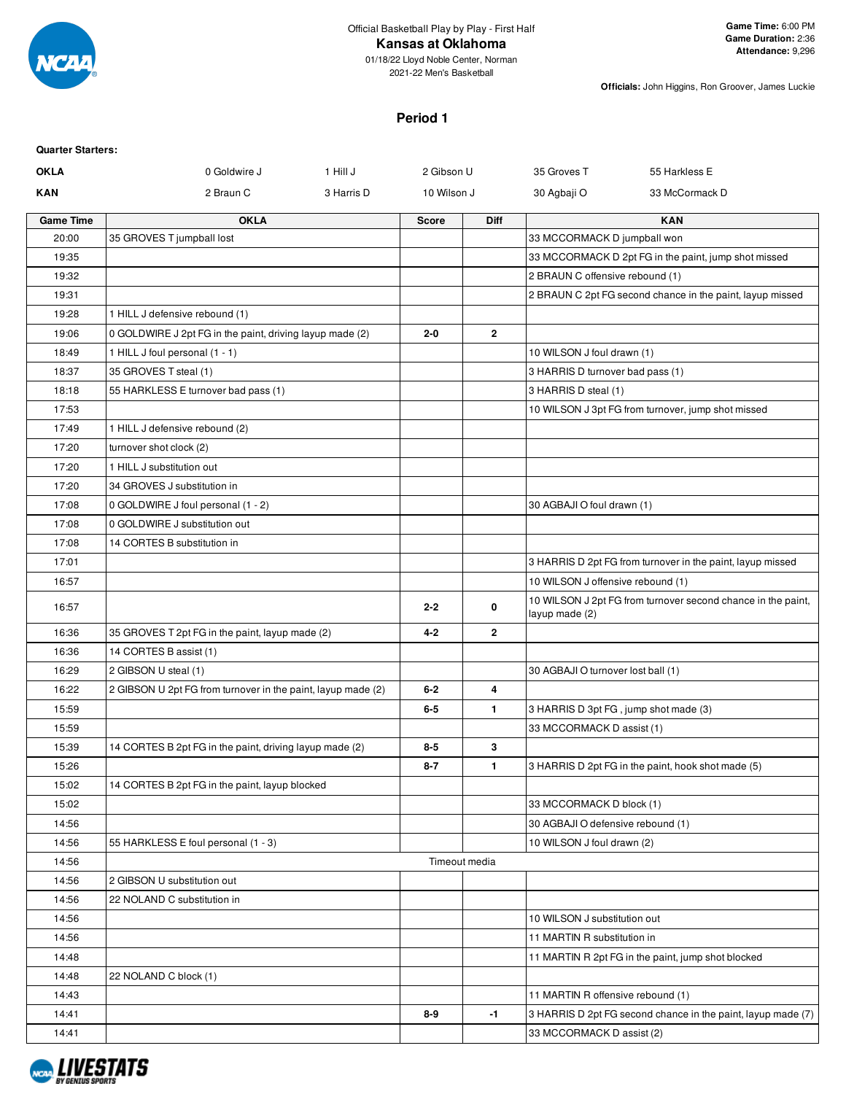

## **Kansas at Oklahoma**

01/18/22 Lloyd Noble Center, Norman 2021-22 Men's Basketball

**Officials:** John Higgins, Ron Groover, James Luckie

## **Period 1**

| <b>Quarter Starters:</b> |                                                              |            |               |                |                                       |                                                              |
|--------------------------|--------------------------------------------------------------|------------|---------------|----------------|---------------------------------------|--------------------------------------------------------------|
| <b>OKLA</b>              | 0 Goldwire J                                                 | 1 Hill J   | 2 Gibson U    |                | 35 Groves T                           | 55 Harkless E                                                |
| KAN                      | 2 Braun C                                                    | 3 Harris D | 10 Wilson J   |                | 30 Agbaji O                           | 33 McCormack D                                               |
| <b>Game Time</b>         | <b>OKLA</b>                                                  |            | Score         | <b>Diff</b>    |                                       | <b>KAN</b>                                                   |
| 20:00                    | 35 GROVES T jumpball lost                                    |            |               |                | 33 MCCORMACK D jumpball won           |                                                              |
| 19:35                    |                                                              |            |               |                |                                       | 33 MCCORMACK D 2pt FG in the paint, jump shot missed         |
| 19:32                    |                                                              |            |               |                | 2 BRAUN C offensive rebound (1)       |                                                              |
| 19:31                    |                                                              |            |               |                |                                       | 2 BRAUN C 2pt FG second chance in the paint, layup missed    |
| 19:28                    | 1 HILL J defensive rebound (1)                               |            |               |                |                                       |                                                              |
| 19:06                    | 0 GOLDWIRE J 2pt FG in the paint, driving layup made (2)     |            | $2 - 0$       | $\overline{2}$ |                                       |                                                              |
| 18:49                    | 1 HILL J foul personal (1 - 1)                               |            |               |                | 10 WILSON J foul drawn (1)            |                                                              |
| 18:37                    | 35 GROVES T steal (1)                                        |            |               |                | 3 HARRIS D turnover bad pass (1)      |                                                              |
| 18:18                    | 55 HARKLESS E turnover bad pass (1)                          |            |               |                | 3 HARRIS D steal (1)                  |                                                              |
| 17:53                    |                                                              |            |               |                |                                       | 10 WILSON J 3pt FG from turnover, jump shot missed           |
| 17:49                    | 1 HILL J defensive rebound (2)                               |            |               |                |                                       |                                                              |
| 17:20                    | turnover shot clock (2)                                      |            |               |                |                                       |                                                              |
| 17:20                    | 1 HILL J substitution out                                    |            |               |                |                                       |                                                              |
| 17:20                    | 34 GROVES J substitution in                                  |            |               |                |                                       |                                                              |
| 17:08                    | 0 GOLDWIRE J foul personal (1 - 2)                           |            |               |                | 30 AGBAJI O foul drawn (1)            |                                                              |
| 17:08                    | 0 GOLDWIRE J substitution out                                |            |               |                |                                       |                                                              |
| 17:08                    | 14 CORTES B substitution in                                  |            |               |                |                                       |                                                              |
| 17:01                    |                                                              |            |               |                |                                       | 3 HARRIS D 2pt FG from turnover in the paint, layup missed   |
| 16:57                    |                                                              |            |               |                | 10 WILSON J offensive rebound (1)     |                                                              |
| 16:57                    |                                                              |            | $2 - 2$       | 0              | layup made (2)                        | 10 WILSON J 2pt FG from turnover second chance in the paint, |
| 16:36                    | 35 GROVES T 2pt FG in the paint, layup made (2)              |            | $4 - 2$       | $\overline{2}$ |                                       |                                                              |
| 16:36                    | 14 CORTES B assist (1)                                       |            |               |                |                                       |                                                              |
| 16:29                    | 2 GIBSON U steal (1)                                         |            |               |                | 30 AGBAJI O turnover lost ball (1)    |                                                              |
| 16:22                    | 2 GIBSON U 2pt FG from turnover in the paint, layup made (2) |            | $6 - 2$       | 4              |                                       |                                                              |
| 15:59                    |                                                              |            | $6-5$         | $\mathbf{1}$   | 3 HARRIS D 3pt FG, jump shot made (3) |                                                              |
| 15:59                    |                                                              |            |               |                | 33 MCCORMACK D assist (1)             |                                                              |
| 15:39                    | 14 CORTES B 2pt FG in the paint, driving layup made (2)      |            | $8-5$         | 3              |                                       |                                                              |
| 15:26                    |                                                              |            | $8 - 7$       | $\mathbf{1}$   |                                       | 3 HARRIS D 2pt FG in the paint, hook shot made (5)           |
| 15:02                    | 14 CORTES B 2pt FG in the paint, layup blocked               |            |               |                |                                       |                                                              |
| 15:02                    |                                                              |            |               |                | 33 MCCORMACK D block (1)              |                                                              |
| 14:56                    |                                                              |            |               |                | 30 AGBAJI O defensive rebound (1)     |                                                              |
| 14:56                    | 55 HARKLESS E foul personal (1 - 3)                          |            |               |                | 10 WILSON J foul drawn (2)            |                                                              |
| 14:56                    |                                                              |            | Timeout media |                |                                       |                                                              |
| 14:56                    | 2 GIBSON U substitution out                                  |            |               |                |                                       |                                                              |
| 14:56                    | 22 NOLAND C substitution in                                  |            |               |                |                                       |                                                              |
| 14:56                    |                                                              |            |               |                | 10 WILSON J substitution out          |                                                              |
| 14:56                    |                                                              |            |               |                | 11 MARTIN R substitution in           |                                                              |
| 14:48                    |                                                              |            |               |                |                                       | 11 MARTIN R 2pt FG in the paint, jump shot blocked           |
| 14:48                    | 22 NOLAND C block (1)                                        |            |               |                |                                       |                                                              |
| 14:43                    |                                                              |            |               |                | 11 MARTIN R offensive rebound (1)     |                                                              |
| 14:41                    |                                                              |            | $8 - 9$       | $-1$           |                                       | 3 HARRIS D 2pt FG second chance in the paint, layup made (7) |
| 14:41                    |                                                              |            |               |                | 33 MCCORMACK D assist (2)             |                                                              |
|                          |                                                              |            |               |                |                                       |                                                              |

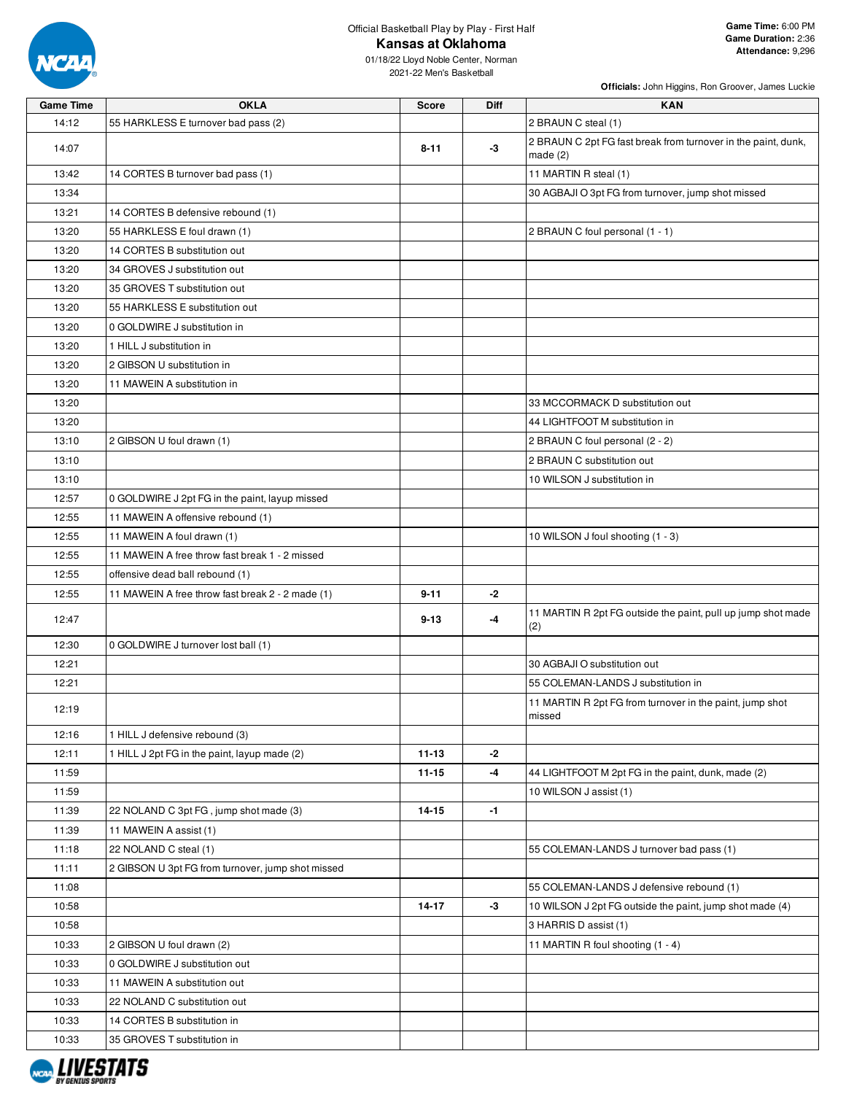

**Officials:** John Higgins, Ron Groover, James Luckie

| <b>Game Time</b> | <b>OKLA</b>                                       | <b>Score</b> | <b>Diff</b> | <b>KAN</b>                                                                  |
|------------------|---------------------------------------------------|--------------|-------------|-----------------------------------------------------------------------------|
| 14:12            | 55 HARKLESS E turnover bad pass (2)               |              |             | 2 BRAUN C steal (1)                                                         |
| 14:07            |                                                   | $8 - 11$     | $-3$        | 2 BRAUN C 2pt FG fast break from turnover in the paint, dunk,<br>made $(2)$ |
| 13:42            | 14 CORTES B turnover bad pass (1)                 |              |             | 11 MARTIN R steal (1)                                                       |
| 13:34            |                                                   |              |             | 30 AGBAJI O 3pt FG from turnover, jump shot missed                          |
| 13:21            | 14 CORTES B defensive rebound (1)                 |              |             |                                                                             |
| 13:20            | 55 HARKLESS E foul drawn (1)                      |              |             | 2 BRAUN C foul personal (1 - 1)                                             |
| 13:20            | 14 CORTES B substitution out                      |              |             |                                                                             |
| 13:20            | 34 GROVES J substitution out                      |              |             |                                                                             |
| 13:20            | 35 GROVES T substitution out                      |              |             |                                                                             |
| 13:20            | 55 HARKLESS E substitution out                    |              |             |                                                                             |
| 13:20            | 0 GOLDWIRE J substitution in                      |              |             |                                                                             |
| 13:20            | 1 HILL J substitution in                          |              |             |                                                                             |
| 13:20            | 2 GIBSON U substitution in                        |              |             |                                                                             |
| 13:20            | 11 MAWEIN A substitution in                       |              |             |                                                                             |
| 13:20            |                                                   |              |             | 33 MCCORMACK D substitution out                                             |
| 13:20            |                                                   |              |             | 44 LIGHTFOOT M substitution in                                              |
| 13:10            | 2 GIBSON U foul drawn (1)                         |              |             | 2 BRAUN C foul personal (2 - 2)                                             |
| 13:10            |                                                   |              |             | 2 BRAUN C substitution out                                                  |
| 13:10            |                                                   |              |             | 10 WILSON J substitution in                                                 |
| 12:57            | 0 GOLDWIRE J 2pt FG in the paint, layup missed    |              |             |                                                                             |
| 12:55            | 11 MAWEIN A offensive rebound (1)                 |              |             |                                                                             |
| 12:55            | 11 MAWEIN A foul drawn (1)                        |              |             | 10 WILSON J foul shooting (1 - 3)                                           |
| 12:55            | 11 MAWEIN A free throw fast break 1 - 2 missed    |              |             |                                                                             |
| 12:55            | offensive dead ball rebound (1)                   |              |             |                                                                             |
| 12:55            | 11 MAWEIN A free throw fast break 2 - 2 made (1)  | $9 - 11$     | $-2$        |                                                                             |
| 12:47            |                                                   | $9 - 13$     | -4          | 11 MARTIN R 2pt FG outside the paint, pull up jump shot made<br>(2)         |
| 12:30            | 0 GOLDWIRE J turnover lost ball (1)               |              |             |                                                                             |
| 12:21            |                                                   |              |             | 30 AGBAJI O substitution out                                                |
| 12:21            |                                                   |              |             | 55 COLEMAN-LANDS J substitution in                                          |
| 12:19            |                                                   |              |             | 11 MARTIN R 2pt FG from turnover in the paint, jump shot<br>missed          |
| 12:16            | 1 HILL J defensive rebound (3)                    |              |             |                                                                             |
| 12:11            | 1 HILL J 2pt FG in the paint, layup made (2)      | $11 - 13$    | $-2$        |                                                                             |
| 11:59            |                                                   | $11 - 15$    | $-4$        | 44 LIGHTFOOT M 2pt FG in the paint, dunk, made (2)                          |
| 11:59            |                                                   |              |             | 10 WILSON J assist (1)                                                      |
| 11:39            | 22 NOLAND C 3pt FG, jump shot made (3)            | $14 - 15$    | $-1$        |                                                                             |
| 11:39            | 11 MAWEIN A assist (1)                            |              |             |                                                                             |
| 11:18            | 22 NOLAND C steal (1)                             |              |             | 55 COLEMAN-LANDS J turnover bad pass (1)                                    |
| 11:11            | 2 GIBSON U 3pt FG from turnover, jump shot missed |              |             |                                                                             |
| 11:08            |                                                   |              |             | 55 COLEMAN-LANDS J defensive rebound (1)                                    |
| 10:58            |                                                   | $14 - 17$    | $-3$        | 10 WILSON J 2pt FG outside the paint, jump shot made (4)                    |
| 10:58            |                                                   |              |             | 3 HARRIS D assist (1)                                                       |
| 10:33            | 2 GIBSON U foul drawn (2)                         |              |             | 11 MARTIN R foul shooting (1 - 4)                                           |
| 10:33            | 0 GOLDWIRE J substitution out                     |              |             |                                                                             |
| 10:33            | 11 MAWEIN A substitution out                      |              |             |                                                                             |
| 10:33            | 22 NOLAND C substitution out                      |              |             |                                                                             |
| 10:33            | 14 CORTES B substitution in                       |              |             |                                                                             |
| 10:33            | 35 GROVES T substitution in                       |              |             |                                                                             |

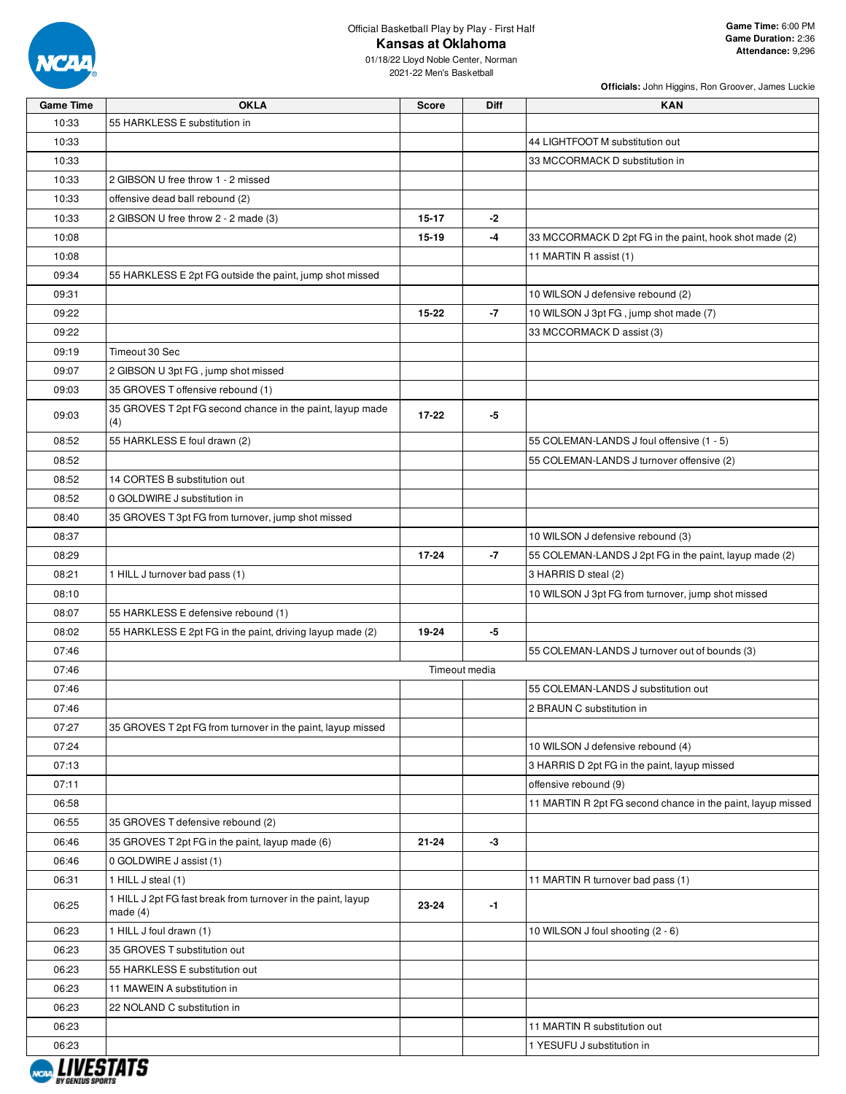

**Officials:** John Higgins, Ron Groover, James Luckie

| Game Time | OKLA                                                                    | Score     | Diff          | KAN                                                         |
|-----------|-------------------------------------------------------------------------|-----------|---------------|-------------------------------------------------------------|
| 10:33     | 55 HARKLESS E substitution in                                           |           |               |                                                             |
| 10:33     |                                                                         |           |               | 44 LIGHTFOOT M substitution out                             |
| 10:33     |                                                                         |           |               | 33 MCCORMACK D substitution in                              |
| 10:33     | 2 GIBSON U free throw 1 - 2 missed                                      |           |               |                                                             |
| 10:33     | offensive dead ball rebound (2)                                         |           |               |                                                             |
| 10:33     | 2 GIBSON U free throw 2 - 2 made (3)                                    | $15 - 17$ | $-2$          |                                                             |
| 10:08     |                                                                         | 15-19     | -4            | 33 MCCORMACK D 2pt FG in the paint, hook shot made (2)      |
| 10:08     |                                                                         |           |               | 11 MARTIN R assist (1)                                      |
| 09:34     | 55 HARKLESS E 2pt FG outside the paint, jump shot missed                |           |               |                                                             |
| 09:31     |                                                                         |           |               | 10 WILSON J defensive rebound (2)                           |
| 09:22     |                                                                         | 15-22     | $-7$          | 10 WILSON J 3pt FG, jump shot made (7)                      |
| 09:22     |                                                                         |           |               | 33 MCCORMACK D assist (3)                                   |
| 09:19     | Timeout 30 Sec                                                          |           |               |                                                             |
| 09:07     | 2 GIBSON U 3pt FG, jump shot missed                                     |           |               |                                                             |
| 09:03     | 35 GROVES T offensive rebound (1)                                       |           |               |                                                             |
| 09:03     | 35 GROVES T 2pt FG second chance in the paint, layup made               | $17 - 22$ | -5            |                                                             |
|           | (4)                                                                     |           |               |                                                             |
| 08:52     | 55 HARKLESS E foul drawn (2)                                            |           |               | 55 COLEMAN-LANDS J foul offensive (1 - 5)                   |
| 08:52     |                                                                         |           |               | 55 COLEMAN-LANDS J turnover offensive (2)                   |
| 08:52     | 14 CORTES B substitution out                                            |           |               |                                                             |
| 08:52     | 0 GOLDWIRE J substitution in                                            |           |               |                                                             |
| 08:40     | 35 GROVES T 3pt FG from turnover, jump shot missed                      |           |               |                                                             |
| 08:37     |                                                                         |           |               | 10 WILSON J defensive rebound (3)                           |
| 08:29     |                                                                         | $17 - 24$ | $-7$          | 55 COLEMAN-LANDS J 2pt FG in the paint, layup made (2)      |
| 08:21     | 1 HILL J turnover bad pass (1)                                          |           |               | 3 HARRIS D steal (2)                                        |
| 08:10     |                                                                         |           |               | 10 WILSON J 3pt FG from turnover, jump shot missed          |
| 08:07     | 55 HARKLESS E defensive rebound (1)                                     |           |               |                                                             |
| 08:02     | 55 HARKLESS E 2pt FG in the paint, driving layup made (2)               | 19-24     | -5            |                                                             |
| 07:46     |                                                                         |           |               | 55 COLEMAN-LANDS J turnover out of bounds (3)               |
| 07:46     |                                                                         |           | Timeout media |                                                             |
| 07:46     |                                                                         |           |               | 55 COLEMAN-LANDS J substitution out                         |
| 07:46     |                                                                         |           |               | 2 BRAUN C substitution in                                   |
| 07:27     | 35 GROVES T 2pt FG from turnover in the paint, layup missed             |           |               |                                                             |
| 07:24     |                                                                         |           |               | 10 WILSON J defensive rebound (4)                           |
| 07:13     |                                                                         |           |               | 3 HARRIS D 2pt FG in the paint, layup missed                |
| 07:11     |                                                                         |           |               | offensive rebound (9)                                       |
| 06:58     |                                                                         |           |               | 11 MARTIN R 2pt FG second chance in the paint, layup missed |
| 06:55     | 35 GROVES T defensive rebound (2)                                       |           |               |                                                             |
| 06:46     | 35 GROVES T 2pt FG in the paint, layup made (6)                         | 21-24     | -3            |                                                             |
| 06:46     | 0 GOLDWIRE J assist (1)                                                 |           |               |                                                             |
| 06:31     | 1 HILL J steal (1)                                                      |           |               | 11 MARTIN R turnover bad pass (1)                           |
| 06:25     | 1 HILL J 2pt FG fast break from turnover in the paint, layup<br>made(4) | 23-24     | $-1$          |                                                             |
| 06:23     | 1 HILL J foul drawn (1)                                                 |           |               | 10 WILSON J foul shooting (2 - 6)                           |
| 06:23     | 35 GROVES T substitution out                                            |           |               |                                                             |
| 06:23     | 55 HARKLESS E substitution out                                          |           |               |                                                             |
| 06:23     | 11 MAWEIN A substitution in                                             |           |               |                                                             |
| 06:23     | 22 NOLAND C substitution in                                             |           |               |                                                             |
| 06:23     |                                                                         |           |               | 11 MARTIN R substitution out                                |
| 06:23     |                                                                         |           |               | 1 YESUFU J substitution in                                  |

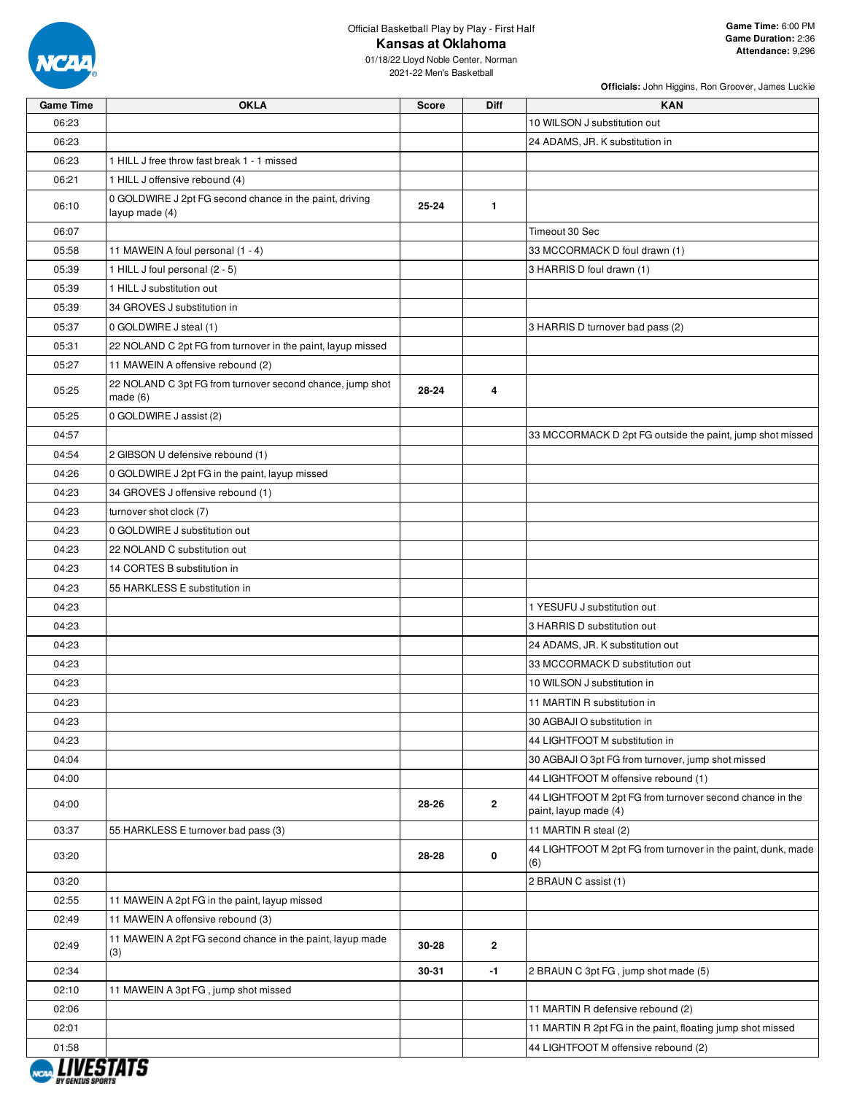

**Officials:** John Higgins, Ron Groover, James Luckie

| <b>Game Time</b> | OKLA                                                                      | Score | Diff           | KAN                                                                               |
|------------------|---------------------------------------------------------------------------|-------|----------------|-----------------------------------------------------------------------------------|
| 06:23            |                                                                           |       |                | 10 WILSON J substitution out                                                      |
| 06:23            |                                                                           |       |                | 24 ADAMS, JR. K substitution in                                                   |
| 06:23            | 1 HILL J free throw fast break 1 - 1 missed                               |       |                |                                                                                   |
| 06:21            | 1 HILL J offensive rebound (4)                                            |       |                |                                                                                   |
| 06:10            | 0 GOLDWIRE J 2pt FG second chance in the paint, driving<br>layup made (4) | 25-24 | $\mathbf{1}$   |                                                                                   |
| 06:07            |                                                                           |       |                | Timeout 30 Sec                                                                    |
| 05:58            | 11 MAWEIN A foul personal (1 - 4)                                         |       |                | 33 MCCORMACK D foul drawn (1)                                                     |
| 05:39            | 1 HILL J foul personal (2 - 5)                                            |       |                | 3 HARRIS D foul drawn (1)                                                         |
| 05:39            | 1 HILL J substitution out                                                 |       |                |                                                                                   |
| 05:39            | 34 GROVES J substitution in                                               |       |                |                                                                                   |
| 05:37            | 0 GOLDWIRE J steal (1)                                                    |       |                | 3 HARRIS D turnover bad pass (2)                                                  |
| 05:31            | 22 NOLAND C 2pt FG from turnover in the paint, layup missed               |       |                |                                                                                   |
| 05:27            | 11 MAWEIN A offensive rebound (2)                                         |       |                |                                                                                   |
| 05:25            | 22 NOLAND C 3pt FG from turnover second chance, jump shot<br>made(6)      | 28-24 | 4              |                                                                                   |
| 05:25            | 0 GOLDWIRE J assist (2)                                                   |       |                |                                                                                   |
| 04:57            |                                                                           |       |                | 33 MCCORMACK D 2pt FG outside the paint, jump shot missed                         |
| 04:54            | 2 GIBSON U defensive rebound (1)                                          |       |                |                                                                                   |
| 04:26            | 0 GOLDWIRE J 2pt FG in the paint, layup missed                            |       |                |                                                                                   |
| 04:23            | 34 GROVES J offensive rebound (1)                                         |       |                |                                                                                   |
| 04:23            | turnover shot clock (7)                                                   |       |                |                                                                                   |
| 04:23            | 0 GOLDWIRE J substitution out                                             |       |                |                                                                                   |
| 04:23            | 22 NOLAND C substitution out                                              |       |                |                                                                                   |
| 04:23            | 14 CORTES B substitution in                                               |       |                |                                                                                   |
| 04:23            | 55 HARKLESS E substitution in                                             |       |                |                                                                                   |
| 04:23            |                                                                           |       |                | 1 YESUFU J substitution out                                                       |
| 04:23            |                                                                           |       |                | 3 HARRIS D substitution out                                                       |
| 04:23            |                                                                           |       |                | 24 ADAMS, JR. K substitution out                                                  |
| 04:23            |                                                                           |       |                | 33 MCCORMACK D substitution out                                                   |
| 04:23            |                                                                           |       |                | 10 WILSON J substitution in                                                       |
| 04:23            |                                                                           |       |                | 11 MARTIN R substitution in                                                       |
| 04:23            |                                                                           |       |                | 30 AGBAJI O substitution in                                                       |
| 04:23            |                                                                           |       |                | 44 LIGHTFOOT M substitution in                                                    |
| 04:04            |                                                                           |       |                | 30 AGBAJI O 3pt FG from turnover, jump shot missed                                |
| 04:00            |                                                                           |       |                | 44 LIGHTFOOT M offensive rebound (1)                                              |
| 04:00            |                                                                           | 28-26 | $\overline{2}$ | 44 LIGHTFOOT M 2pt FG from turnover second chance in the<br>paint, layup made (4) |
| 03:37            | 55 HARKLESS E turnover bad pass (3)                                       |       |                | 11 MARTIN R steal (2)                                                             |
| 03:20            |                                                                           | 28-28 | 0              | 44 LIGHTFOOT M 2pt FG from turnover in the paint, dunk, made<br>(6)               |
| 03:20            |                                                                           |       |                | 2 BRAUN C assist (1)                                                              |
| 02:55            | 11 MAWEIN A 2pt FG in the paint, layup missed                             |       |                |                                                                                   |
| 02:49            | 11 MAWEIN A offensive rebound (3)                                         |       |                |                                                                                   |
| 02:49            | 11 MAWEIN A 2pt FG second chance in the paint, layup made<br>(3)          | 30-28 | $\mathbf{2}$   |                                                                                   |
| 02:34            |                                                                           | 30-31 | $-1$           | 2 BRAUN C 3pt FG, jump shot made (5)                                              |
| 02:10            | 11 MAWEIN A 3pt FG, jump shot missed                                      |       |                |                                                                                   |
| 02:06            |                                                                           |       |                | 11 MARTIN R defensive rebound (2)                                                 |
| 02:01            |                                                                           |       |                | 11 MARTIN R 2pt FG in the paint, floating jump shot missed                        |
| 01:58            |                                                                           |       |                | 44 LIGHTFOOT M offensive rebound (2)                                              |

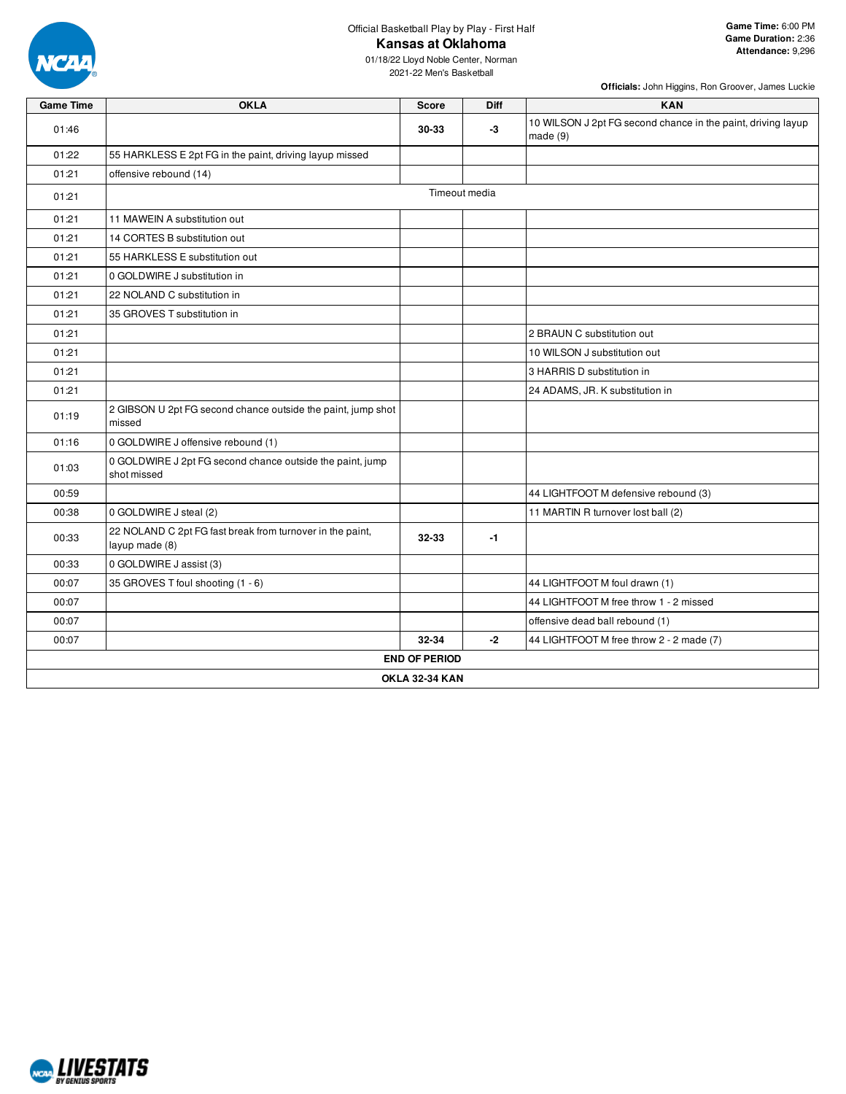

01/18/22 Lloyd Noble Center, Norman 2021-22 Men's Basketball

| <b>Game Time</b> | <b>OKLA</b>                                                                 | Score                 | <b>Diff</b>   | <b>KAN</b>                                                              |
|------------------|-----------------------------------------------------------------------------|-----------------------|---------------|-------------------------------------------------------------------------|
| 01:46            |                                                                             | 30-33                 | -3            | 10 WILSON J 2pt FG second chance in the paint, driving layup<br>made(9) |
| 01:22            | 55 HARKLESS E 2pt FG in the paint, driving layup missed                     |                       |               |                                                                         |
| 01:21            | offensive rebound (14)                                                      |                       |               |                                                                         |
| 01:21            |                                                                             |                       | Timeout media |                                                                         |
| 01:21            | 11 MAWEIN A substitution out                                                |                       |               |                                                                         |
| 01:21            | 14 CORTES B substitution out                                                |                       |               |                                                                         |
| 01:21            | 55 HARKLESS E substitution out                                              |                       |               |                                                                         |
| 01:21            | 0 GOLDWIRE J substitution in                                                |                       |               |                                                                         |
| 01:21            | 22 NOLAND C substitution in                                                 |                       |               |                                                                         |
| 01:21            | 35 GROVES T substitution in                                                 |                       |               |                                                                         |
| 01:21            |                                                                             |                       |               | 2 BRAUN C substitution out                                              |
| 01:21            |                                                                             |                       |               | 10 WILSON J substitution out                                            |
| 01:21            |                                                                             |                       |               | 3 HARRIS D substitution in                                              |
| 01:21            |                                                                             |                       |               | 24 ADAMS, JR. K substitution in                                         |
| 01:19            | 2 GIBSON U 2pt FG second chance outside the paint, jump shot<br>missed      |                       |               |                                                                         |
| 01:16            | 0 GOLDWIRE J offensive rebound (1)                                          |                       |               |                                                                         |
| 01:03            | 0 GOLDWIRE J 2pt FG second chance outside the paint, jump<br>shot missed    |                       |               |                                                                         |
| 00:59            |                                                                             |                       |               | 44 LIGHTFOOT M defensive rebound (3)                                    |
| 00:38            | 0 GOLDWIRE J steal (2)                                                      |                       |               | 11 MARTIN R turnover lost ball (2)                                      |
| 00:33            | 22 NOLAND C 2pt FG fast break from turnover in the paint,<br>layup made (8) | 32-33                 | $-1$          |                                                                         |
| 00:33            | 0 GOLDWIRE J assist (3)                                                     |                       |               |                                                                         |
| 00:07            | 35 GROVES T foul shooting (1 - 6)                                           |                       |               | 44 LIGHTFOOT M foul drawn (1)                                           |
| 00:07            |                                                                             |                       |               | 44 LIGHTFOOT M free throw 1 - 2 missed                                  |
| 00:07            |                                                                             |                       |               | offensive dead ball rebound (1)                                         |
| 00:07            |                                                                             | 32-34                 | -2            | 44 LIGHTFOOT M free throw 2 - 2 made (7)                                |
|                  |                                                                             | <b>END OF PERIOD</b>  |               |                                                                         |
|                  |                                                                             | <b>OKLA 32-34 KAN</b> |               |                                                                         |

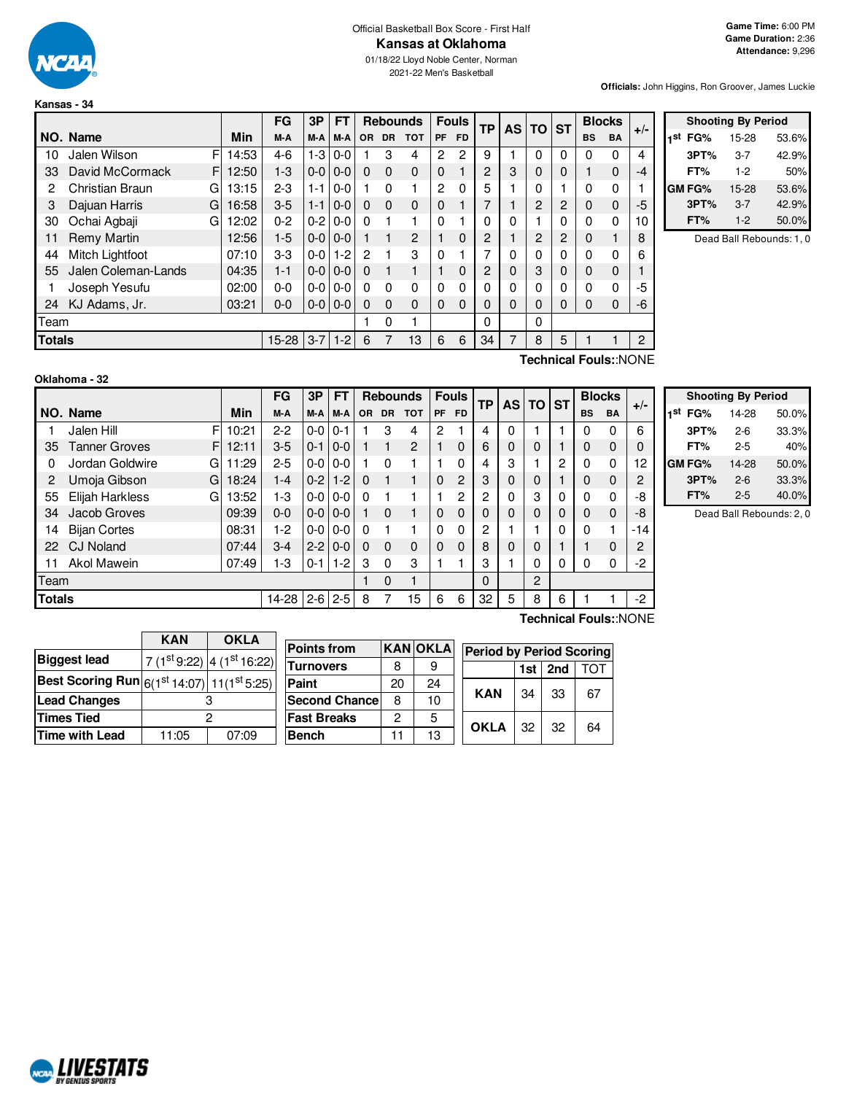

#### Official Basketball Box Score - First Half **Kansas at Oklahoma**

01/18/22 Lloyd Noble Center, Norman 2021-22 Men's Basketball

**Officials:** John Higgins, Ron Groover, James Luckie

|               |                     |   |       | FG        | 3P            | <b>FT</b> |           | <b>Rebounds</b> |                |              | <b>Fouls</b> | TP               | <b>AS</b> | <b>TO</b>      | <b>ST</b> | <b>Blocks</b> |           | $+/-$ |
|---------------|---------------------|---|-------|-----------|---------------|-----------|-----------|-----------------|----------------|--------------|--------------|------------------|-----------|----------------|-----------|---------------|-----------|-------|
|               | NO. Name            |   | Min   | M-A       | M-A           | M-A       | <b>OR</b> | <b>DR</b>       | <b>TOT</b>     | <b>PF</b>    | <b>FD</b>    |                  |           |                |           | <b>BS</b>     | <b>BA</b> |       |
| 10            | Jalen Wilson        | F | 14:53 | $4-6$     | $1-3$         | $0 - 0$   |           | 3               | 4              | 2            | 2            | 9                |           | 0              | 0         | 0             | 0         | 4     |
| 33            | David McCormack     | F | 12:50 | $1 - 3$   | $0-0$         | $0 - 0$   | 0         | $\Omega$        | $\Omega$       | $\mathbf 0$  |              | 2                | 3         | 0              | 0         |               | 0         | -4    |
| 2             | Christian Braun     | G | 13:15 | $2 - 3$   | $1 - 1$       | $0 - 0$   |           | 0               |                | 2            | 0            | 5                |           | 0              |           | 0             | 0         |       |
| 3             | Dajuan Harris       | G | 16:58 | $3-5$     | $1 - 1$       | $0 - 0$   | 0         | $\Omega$        | $\Omega$       | 0            |              |                  |           | 2              | 2         | 0             | 0         | -5    |
| 30            | Ochai Agbaji        | G | 12:02 | $0 - 2$   | $0-2$         | $0 - 0$   | 0         |                 |                | 0            |              | ი                | 0         |                | 0         | 0             | 0         | 10    |
| 11            | Remy Martin         |   | 12:56 | $1-5$     | $0 - 0 0 - 0$ |           |           | 1               | $\overline{c}$ |              | 0            | 2                |           | $\overline{2}$ | 2         | 0             |           | 8     |
| 44            | Mitch Lightfoot     |   | 07:10 | $3-3$     | $0-0$         | $1 - 2$   | 2         |                 | 3              | $\mathbf{0}$ |              | 7                | 0         | 0              | 0         | 0             | 0         | 6     |
| 55            | Jalen Coleman-Lands |   | 04:35 | $1 - 1$   | $0 - 0 0 - 0$ |           | $\Omega$  | 1               |                |              | 0            | 2                | 0         | 3              | 0         | 0             | $\Omega$  |       |
|               | Joseph Yesufu       |   | 02:00 | $0 - 0$   | $0-0$         | l 0-0     | 0         | 0               | 0              | $\Omega$     | 0            | 0                | 0         | 0              | 0         | 0             | 0         | -5    |
| 24            | KJ Adams, Jr.       |   | 03:21 | $0 - 0$   | $0 - 0 0 - 0$ |           | 0         | $\Omega$        | 0              | $\Omega$     | 0            | 0                | 0         | 0              | 0         | 0             | 0         | -6    |
| Team          |                     |   |       |           |               |           |           | 0               |                |              |              | 0                |           | 0              |           |               |           |       |
| <b>Totals</b> |                     |   |       | $15 - 28$ | $3 - 7$       | $1 - 2$   | 6         |                 | 13             | 6            | 6            | 34               | 7         | 8              | 5         |               |           | 2     |
|               |                     |   |       |           |               |           |           |                 |                |              |              | $T_{\text{sub}}$ |           |                |           |               |           |       |

|            | <b>Shooting By Period</b> |       |
|------------|---------------------------|-------|
| 1st<br>FG% | 15-28                     | 53.6% |
| 3PT%       | 3-7                       | 42.9% |
| FT%        | $1-2$                     | 50%   |
| GM FG%     | 15-28                     | 53.6% |
| 3PT%       | $3 - 7$                   | 42.9% |
| FT%        | $1-2$                     | 50.0% |

Dead Ball Rebounds: 1, 0

| Oklahoma - 32 |  |
|---------------|--|
|               |  |

**Technical Fouls:**:NONE

|               |                           |       | FG      | 3P      | FT      |           |             | <b>Rebounds</b> |           | <b>Fouls</b>   | TP | <b>AS</b>   | TO I | <b>ST</b> |           | <b>Blocks</b> | $+/-$ |
|---------------|---------------------------|-------|---------|---------|---------|-----------|-------------|-----------------|-----------|----------------|----|-------------|------|-----------|-----------|---------------|-------|
|               | NO. Name                  | Min   | M-A     | M-A     | M-A     | <b>OR</b> | <b>DR</b>   | <b>TOT</b>      | <b>PF</b> | <b>FD</b>      |    |             |      |           | <b>BS</b> | <b>BA</b>     |       |
|               | F<br>Jalen Hill           | 10:21 | $2 - 2$ | $0-0$   | $0 - 1$ |           | 3           | 4               | 2         |                | 4  | 0           |      |           | 0         | 0             | 6     |
| 35            | <b>Tanner Groves</b><br>F | 12:11 | $3-5$   | $0 - 1$ | $0 - 0$ |           |             | $\overline{2}$  |           | 0              | 6  | $\Omega$    | 0    |           | 0         | $\Omega$      |       |
| 0             | Jordan Goldwire<br>G      | 11:29 | $2 - 5$ | $0-0$   | $0-0$   |           | $\Omega$    |                 |           | 0              | 4  | 3           |      | 2         | $\Omega$  | 0             | 12    |
| 2             | Umoja Gibson<br>G         | 18:24 | $1 - 4$ | $0 - 2$ | $1 - 2$ | $\Omega$  |             |                 | $\Omega$  | $\overline{2}$ | 3  | 0           | 0    |           | 0         | $\Omega$      | 2     |
| 55            | Elijah Harkless<br>G      | 13:52 | $1-3$   | $0-0$   | $0-0$   | $\Omega$  |             |                 |           | 2              | 2  | $\mathbf 0$ | 3    | 0         | $\Omega$  | 0             | -8    |
| 34            | Jacob Groves              | 09:39 | $0 - 0$ | $0-0$   | $0 - 0$ |           | 0           |                 | $\Omega$  | $\Omega$       | 0  | 0           | 0    | 0         | $\Omega$  | $\Omega$      | -8    |
| 14            | <b>Bijan Cortes</b>       | 08:31 | $1-2$   | $0-0$   | $0-0$   | $\Omega$  |             |                 | $\Omega$  | 0              | 2  |             |      | $\Omega$  | $\Omega$  |               | -14   |
| 22            | <b>CJ Noland</b>          | 07:44 | $3 - 4$ | $2 - 2$ | $0-0$   | $\Omega$  | $\Omega$    | $\Omega$        | $\Omega$  | $\Omega$       | 8  | $\Omega$    | 0    |           |           | $\Omega$      | 2     |
| 11            | Akol Mawein               | 07:49 | $1-3$   | $0 - 1$ | $1-2$   | 3         | $\Omega$    | 3               |           |                | 3  |             | 0    | 0         | $\Omega$  | 0             | -2    |
| Team          |                           |       |         |         |         |           | $\mathbf 0$ | 1               |           |                | 0  |             | 2    |           |           |               |       |
| <b>Totals</b> |                           |       | 14-28   | $2 - 6$ | $2-5$   | 8         |             | 15              | 6         | 6              | 32 | 5           | 8    | 6         |           |               | $-2$  |
|               |                           |       |         |         |         |           |             |                 |           |                |    |             |      |           |           |               |       |

|     |        | <b>Shooting By Period</b> |       |
|-----|--------|---------------------------|-------|
| 1st | FG%    | 14-28                     | 50.0% |
|     | 3PT%   | $2 - 6$                   | 33.3% |
|     | FT%    | $2 - 5$                   | 40%   |
|     | GM FG% | 14-28                     | 50.0% |
|     | 3PT%   | $2 - 6$                   | 33.3% |
|     | FT%    | $2 - 5$                   | 40.0% |

Dead Ball Rebounds: 2, 0

┑

|                                                                                            | <b>KAN</b> | <b>OKLA</b> | <b>Points from</b>                       |    | <b>KANOKLA</b> |                                 |     |     |     |
|--------------------------------------------------------------------------------------------|------------|-------------|------------------------------------------|----|----------------|---------------------------------|-----|-----|-----|
| <b>Biggest lead</b>                                                                        |            |             |                                          |    |                | <b>Period by Period Scoring</b> |     |     |     |
|                                                                                            |            |             | $17(1^{st}9:22)$ 4 (1st 16:22) Turnovers | 8  | 9              |                                 | 1st | 2nd | TOT |
| Best Scoring Run $\left  6(1^\text{st}$ 14:07) $\right $ 11(1 <sup>st</sup> 5:25) $\left $ |            |             | Paint                                    | 20 | 24             |                                 |     |     |     |
| <b>Lead Changes</b>                                                                        |            |             | <b>Second Chancel</b>                    | 8  | 10             | <b>KAN</b>                      | 34  | 33  | 67  |
| Times Tied                                                                                 |            |             | <b>Fast Breaks</b>                       | っ  | 5              | <b>OKLA</b>                     | 32  | 32  | 64  |
| Time with Lead                                                                             | 11:05      | 07:09       | <b>Bench</b>                             |    | 13             |                                 |     |     |     |

**Technical Fouls:**:NONE

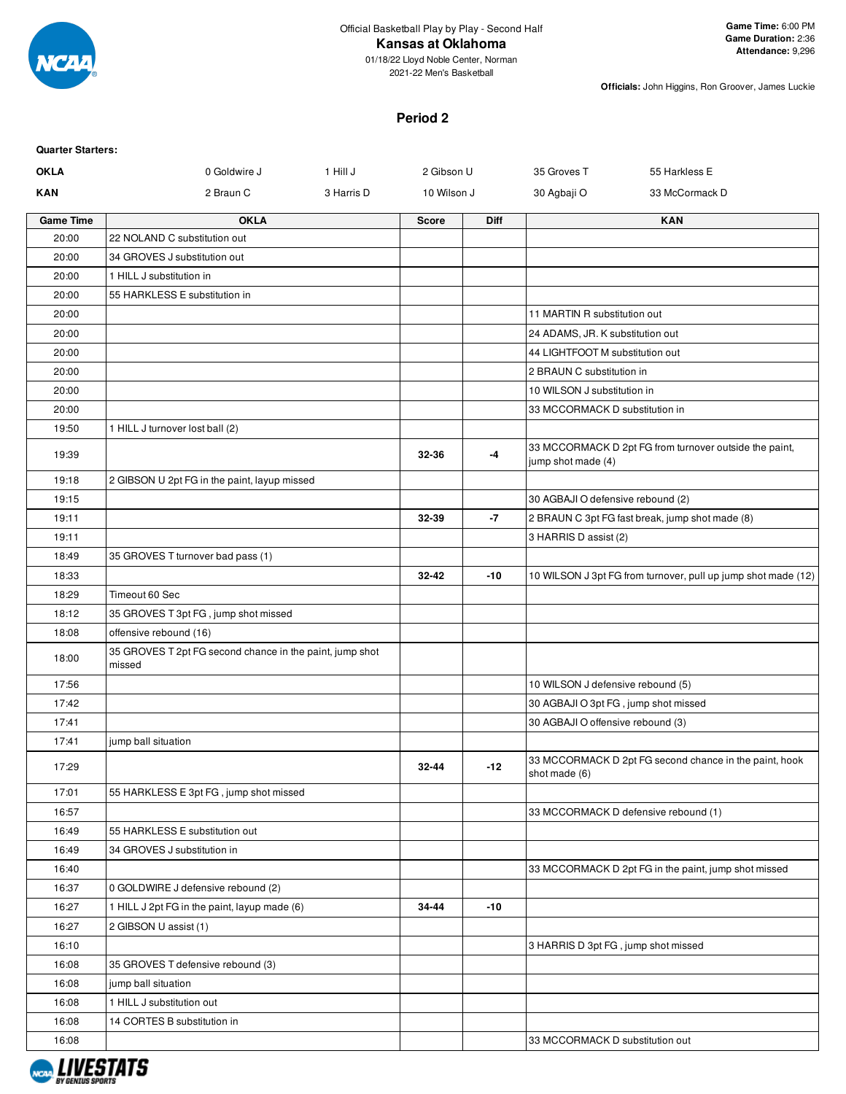

#### **Kansas at Oklahoma**

01/18/22 Lloyd Noble Center, Norman 2021-22 Men's Basketball

**Officials:** John Higgins, Ron Groover, James Luckie

## **Period 2**

| <b>Quarter Starters:</b> |                                                                    |            |              |             |                                      |                                                               |
|--------------------------|--------------------------------------------------------------------|------------|--------------|-------------|--------------------------------------|---------------------------------------------------------------|
| <b>OKLA</b>              | 1 Hill J<br>2 Gibson U<br>0 Goldwire J                             |            |              | 35 Groves T | 55 Harkless E                        |                                                               |
| <b>KAN</b>               | 2 Braun C                                                          | 3 Harris D | 10 Wilson J  |             | 30 Agbaji O                          | 33 McCormack D                                                |
| <b>Game Time</b>         | <b>OKLA</b>                                                        |            | <b>Score</b> | <b>Diff</b> |                                      | <b>KAN</b>                                                    |
| 20:00                    | 22 NOLAND C substitution out                                       |            |              |             |                                      |                                                               |
| 20:00                    | 34 GROVES J substitution out                                       |            |              |             |                                      |                                                               |
| 20:00                    | 1 HILL J substitution in                                           |            |              |             |                                      |                                                               |
| 20:00                    | 55 HARKLESS E substitution in                                      |            |              |             |                                      |                                                               |
| 20:00                    |                                                                    |            |              |             | 11 MARTIN R substitution out         |                                                               |
| 20:00                    |                                                                    |            |              |             | 24 ADAMS, JR. K substitution out     |                                                               |
| 20:00                    |                                                                    |            |              |             | 44 LIGHTFOOT M substitution out      |                                                               |
| 20:00                    |                                                                    |            |              |             | 2 BRAUN C substitution in            |                                                               |
| 20:00                    |                                                                    |            |              |             | 10 WILSON J substitution in          |                                                               |
| 20:00                    |                                                                    |            |              |             | 33 MCCORMACK D substitution in       |                                                               |
| 19:50                    | 1 HILL J turnover lost ball (2)                                    |            |              |             |                                      |                                                               |
| 19:39                    |                                                                    |            | 32-36        | -4          | jump shot made (4)                   | 33 MCCORMACK D 2pt FG from turnover outside the paint,        |
| 19:18                    | 2 GIBSON U 2pt FG in the paint, layup missed                       |            |              |             |                                      |                                                               |
| 19:15                    |                                                                    |            |              |             | 30 AGBAJI O defensive rebound (2)    |                                                               |
| 19:11                    |                                                                    |            | 32-39        | -7          |                                      | 2 BRAUN C 3pt FG fast break, jump shot made (8)               |
| 19:11                    |                                                                    |            |              |             | 3 HARRIS D assist (2)                |                                                               |
| 18:49                    | 35 GROVES T turnover bad pass (1)                                  |            |              |             |                                      |                                                               |
| 18:33                    |                                                                    |            | 32-42        | $-10$       |                                      | 10 WILSON J 3pt FG from turnover, pull up jump shot made (12) |
| 18:29                    | Timeout 60 Sec                                                     |            |              |             |                                      |                                                               |
| 18:12                    | 35 GROVES T 3pt FG, jump shot missed                               |            |              |             |                                      |                                                               |
| 18:08                    | offensive rebound (16)                                             |            |              |             |                                      |                                                               |
| 18:00                    | 35 GROVES T 2pt FG second chance in the paint, jump shot<br>missed |            |              |             |                                      |                                                               |
| 17:56                    |                                                                    |            |              |             | 10 WILSON J defensive rebound (5)    |                                                               |
| 17:42                    |                                                                    |            |              |             | 30 AGBAJI O 3pt FG, jump shot missed |                                                               |
| 17:41                    |                                                                    |            |              |             | 30 AGBAJI O offensive rebound (3)    |                                                               |
| 17:41                    | jump ball situation                                                |            |              |             |                                      |                                                               |
| 17:29                    |                                                                    |            | 32-44        | $-12$       | shot made (6)                        | 33 MCCORMACK D 2pt FG second chance in the paint, hook        |
| 17:01                    | 55 HARKLESS E 3pt FG, jump shot missed                             |            |              |             |                                      |                                                               |
| 16:57                    |                                                                    |            |              |             |                                      | 33 MCCORMACK D defensive rebound (1)                          |
| 16:49                    | 55 HARKLESS E substitution out                                     |            |              |             |                                      |                                                               |
| 16:49                    | 34 GROVES J substitution in                                        |            |              |             |                                      |                                                               |
| 16:40                    |                                                                    |            |              |             |                                      | 33 MCCORMACK D 2pt FG in the paint, jump shot missed          |
| 16:37                    | 0 GOLDWIRE J defensive rebound (2)                                 |            |              |             |                                      |                                                               |
| 16:27                    | 1 HILL J 2pt FG in the paint, layup made (6)                       |            | 34-44        | $-10$       |                                      |                                                               |
| 16:27                    | 2 GIBSON U assist (1)                                              |            |              |             |                                      |                                                               |
| 16:10                    |                                                                    |            |              |             | 3 HARRIS D 3pt FG, jump shot missed  |                                                               |
| 16:08                    | 35 GROVES T defensive rebound (3)                                  |            |              |             |                                      |                                                               |
| 16:08                    | jump ball situation                                                |            |              |             |                                      |                                                               |
| 16:08                    | 1 HILL J substitution out                                          |            |              |             |                                      |                                                               |
| 16:08                    | 14 CORTES B substitution in                                        |            |              |             |                                      |                                                               |
| 16:08                    |                                                                    |            |              |             | 33 MCCORMACK D substitution out      |                                                               |
|                          |                                                                    |            |              |             |                                      |                                                               |

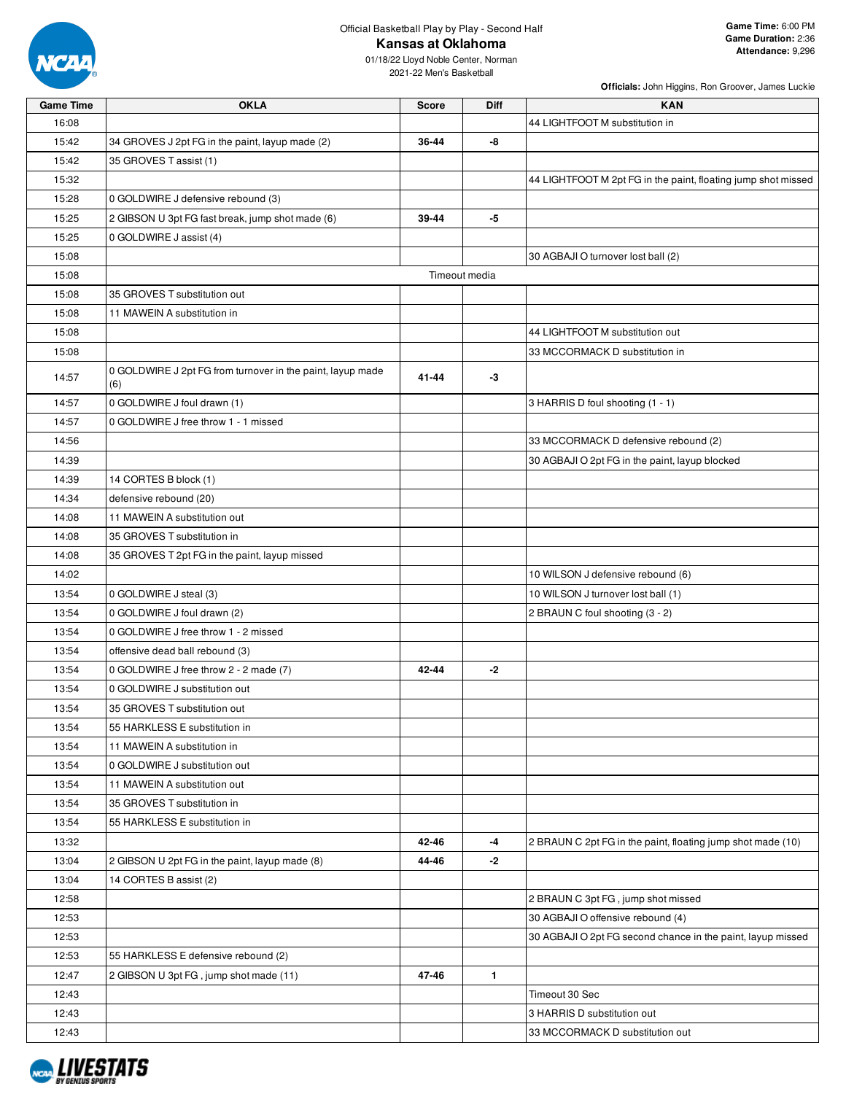

# Official Basketball Play by Play - Second Half

**Officials:** John Higgins, Ron Groover, James Luckie

| <b>Game Time</b> | <b>OKLA</b>                                                       | <b>Score</b> | Diff          | <b>KAN</b>                                                    |
|------------------|-------------------------------------------------------------------|--------------|---------------|---------------------------------------------------------------|
| 16:08            |                                                                   |              |               | 44 LIGHTFOOT M substitution in                                |
| 15:42            | 34 GROVES J 2pt FG in the paint, layup made (2)                   | 36-44        | -8            |                                                               |
| 15:42            | 35 GROVES T assist (1)                                            |              |               |                                                               |
| 15:32            |                                                                   |              |               | 44 LIGHTFOOT M 2pt FG in the paint, floating jump shot missed |
| 15:28            | 0 GOLDWIRE J defensive rebound (3)                                |              |               |                                                               |
| 15:25            | 2 GIBSON U 3pt FG fast break, jump shot made (6)                  | 39-44        | -5            |                                                               |
| 15:25            | 0 GOLDWIRE J assist (4)                                           |              |               |                                                               |
| 15:08            |                                                                   |              |               | 30 AGBAJI O turnover lost ball (2)                            |
| 15:08            |                                                                   |              | Timeout media |                                                               |
| 15:08            | 35 GROVES T substitution out                                      |              |               |                                                               |
| 15:08            | 11 MAWEIN A substitution in                                       |              |               |                                                               |
| 15:08            |                                                                   |              |               | 44 LIGHTFOOT M substitution out                               |
| 15:08            |                                                                   |              |               | 33 MCCORMACK D substitution in                                |
| 14:57            | 0 GOLDWIRE J 2pt FG from turnover in the paint, layup made<br>(6) | 41-44        | -3            |                                                               |
| 14:57            | 0 GOLDWIRE J foul drawn (1)                                       |              |               | 3 HARRIS D foul shooting (1 - 1)                              |
| 14:57            | 0 GOLDWIRE J free throw 1 - 1 missed                              |              |               |                                                               |
| 14:56            |                                                                   |              |               | 33 MCCORMACK D defensive rebound (2)                          |
| 14:39            |                                                                   |              |               | 30 AGBAJI O 2pt FG in the paint, layup blocked                |
| 14:39            | 14 CORTES B block (1)                                             |              |               |                                                               |
| 14:34            | defensive rebound (20)                                            |              |               |                                                               |
| 14:08            | 11 MAWEIN A substitution out                                      |              |               |                                                               |
| 14:08            | 35 GROVES T substitution in                                       |              |               |                                                               |
| 14:08            | 35 GROVES T 2pt FG in the paint, layup missed                     |              |               |                                                               |
| 14:02            |                                                                   |              |               | 10 WILSON J defensive rebound (6)                             |
| 13:54            | 0 GOLDWIRE J steal (3)                                            |              |               | 10 WILSON J turnover lost ball (1)                            |
| 13:54            | 0 GOLDWIRE J foul drawn (2)                                       |              |               | 2 BRAUN C foul shooting (3 - 2)                               |
| 13:54            | 0 GOLDWIRE J free throw 1 - 2 missed                              |              |               |                                                               |
| 13:54            | offensive dead ball rebound (3)                                   |              |               |                                                               |
| 13:54            | 0 GOLDWIRE J free throw 2 - 2 made (7)                            | 42-44        | -2            |                                                               |
| 13:54            | 0 GOLDWIRE J substitution out                                     |              |               |                                                               |
| 13:54            | 35 GROVES T substitution out                                      |              |               |                                                               |
| 13:54            | 55 HARKLESS E substitution in                                     |              |               |                                                               |
| 13:54            | 11 MAWEIN A substitution in                                       |              |               |                                                               |
| 13:54            | 0 GOLDWIRE J substitution out                                     |              |               |                                                               |
| 13:54            | 11 MAWEIN A substitution out                                      |              |               |                                                               |
| 13:54            | 35 GROVES T substitution in                                       |              |               |                                                               |
| 13:54            | 55 HARKLESS E substitution in                                     |              |               |                                                               |
| 13:32            |                                                                   | 42-46        | -4            | 2 BRAUN C 2pt FG in the paint, floating jump shot made (10)   |
| 13:04            | 2 GIBSON U 2pt FG in the paint, layup made (8)                    | 44-46        | -2            |                                                               |
| 13:04            | 14 CORTES B assist (2)                                            |              |               |                                                               |
| 12:58            |                                                                   |              |               | 2 BRAUN C 3pt FG, jump shot missed                            |
| 12:53            |                                                                   |              |               | 30 AGBAJI O offensive rebound (4)                             |
| 12:53            |                                                                   |              |               | 30 AGBAJI O 2pt FG second chance in the paint, layup missed   |
| 12:53            | 55 HARKLESS E defensive rebound (2)                               |              |               |                                                               |
| 12:47            | 2 GIBSON U 3pt FG, jump shot made (11)                            | 47-46        | $\mathbf{1}$  |                                                               |
| 12:43            |                                                                   |              |               | Timeout 30 Sec                                                |
| 12:43            |                                                                   |              |               | 3 HARRIS D substitution out                                   |
| 12:43            |                                                                   |              |               | 33 MCCORMACK D substitution out                               |

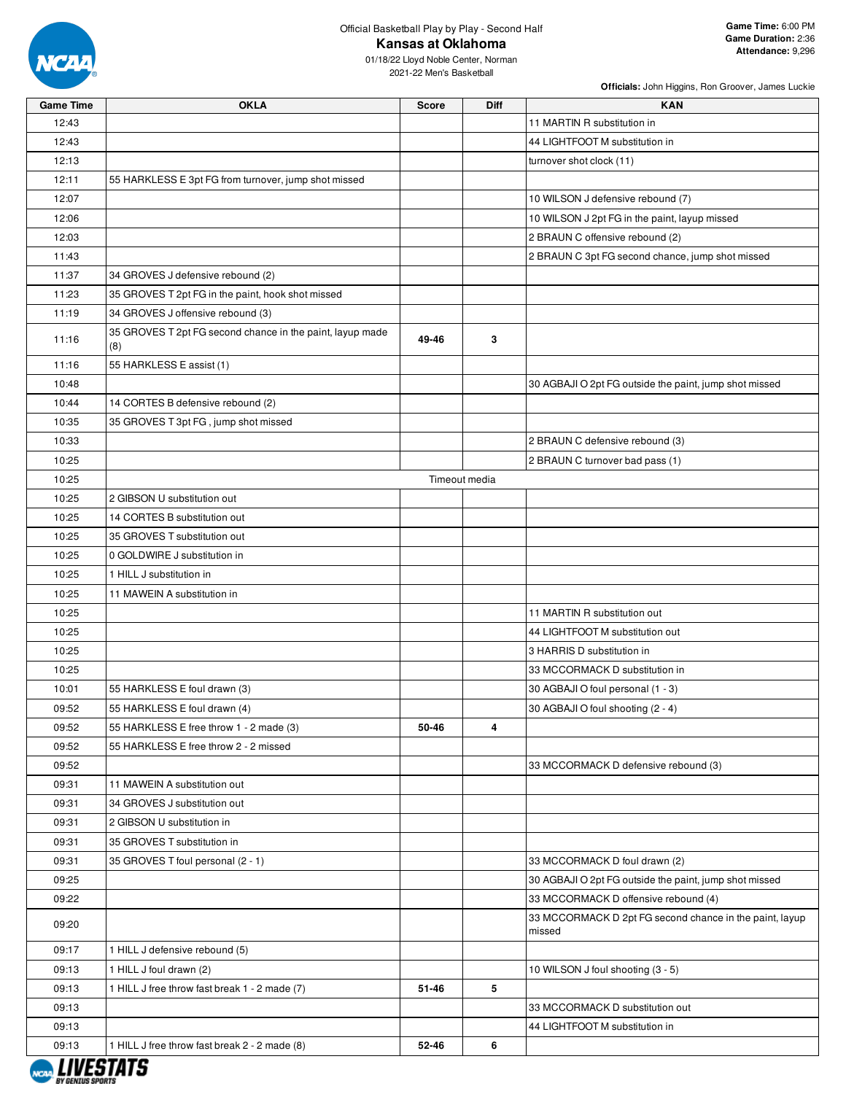

Official Basketball Play by Play - Second Half

| Officials: John Higgins, Ron Groover, James Luckie |  |  |  |
|----------------------------------------------------|--|--|--|
|                                                    |  |  |  |

| <b>Game Time</b> | <b>OKLA</b>                                                      | <b>Score</b> | <b>Diff</b>   | <b>KAN</b>                                                        |
|------------------|------------------------------------------------------------------|--------------|---------------|-------------------------------------------------------------------|
| 12:43            |                                                                  |              |               | 11 MARTIN R substitution in                                       |
| 12:43            |                                                                  |              |               | 44 LIGHTFOOT M substitution in                                    |
| 12:13            |                                                                  |              |               | turnover shot clock (11)                                          |
| 12:11            | 55 HARKLESS E 3pt FG from turnover, jump shot missed             |              |               |                                                                   |
| 12:07            |                                                                  |              |               | 10 WILSON J defensive rebound (7)                                 |
| 12:06            |                                                                  |              |               | 10 WILSON J 2pt FG in the paint, layup missed                     |
| 12:03            |                                                                  |              |               | 2 BRAUN C offensive rebound (2)                                   |
| 11:43            |                                                                  |              |               | 2 BRAUN C 3pt FG second chance, jump shot missed                  |
| 11:37            | 34 GROVES J defensive rebound (2)                                |              |               |                                                                   |
| 11:23            | 35 GROVES T 2pt FG in the paint, hook shot missed                |              |               |                                                                   |
| 11:19            | 34 GROVES J offensive rebound (3)                                |              |               |                                                                   |
| 11:16            | 35 GROVES T 2pt FG second chance in the paint, layup made<br>(8) | 49-46        | 3             |                                                                   |
| 11:16            | 55 HARKLESS E assist (1)                                         |              |               |                                                                   |
| 10:48            |                                                                  |              |               | 30 AGBAJI O 2pt FG outside the paint, jump shot missed            |
| 10:44            | 14 CORTES B defensive rebound (2)                                |              |               |                                                                   |
| 10:35            | 35 GROVES T 3pt FG, jump shot missed                             |              |               |                                                                   |
| 10:33            |                                                                  |              |               | 2 BRAUN C defensive rebound (3)                                   |
| 10:25            |                                                                  |              |               | 2 BRAUN C turnover bad pass (1)                                   |
| 10:25            |                                                                  |              | Timeout media |                                                                   |
| 10:25            | 2 GIBSON U substitution out                                      |              |               |                                                                   |
| 10:25            | 14 CORTES B substitution out                                     |              |               |                                                                   |
| 10:25            | 35 GROVES T substitution out                                     |              |               |                                                                   |
| 10:25            | 0 GOLDWIRE J substitution in                                     |              |               |                                                                   |
| 10:25            | 1 HILL J substitution in                                         |              |               |                                                                   |
| 10:25            | 11 MAWEIN A substitution in                                      |              |               |                                                                   |
| 10:25            |                                                                  |              |               | 11 MARTIN R substitution out                                      |
| 10:25            |                                                                  |              |               | 44 LIGHTFOOT M substitution out                                   |
| 10:25            |                                                                  |              |               | 3 HARRIS D substitution in                                        |
| 10:25            |                                                                  |              |               | 33 MCCORMACK D substitution in                                    |
| 10:01            | 55 HARKLESS E foul drawn (3)                                     |              |               | 30 AGBAJI O foul personal (1 - 3)                                 |
| 09:52            | 55 HARKLESS E foul drawn (4)                                     |              |               | 30 AGBAJI O foul shooting (2 - 4)                                 |
| 09:52            | 55 HARKLESS E free throw 1 - 2 made (3)                          | 50-46        | 4             |                                                                   |
| 09:52            | 55 HARKLESS E free throw 2 - 2 missed                            |              |               |                                                                   |
| 09:52            |                                                                  |              |               | 33 MCCORMACK D defensive rebound (3)                              |
| 09:31            | 11 MAWEIN A substitution out                                     |              |               |                                                                   |
| 09:31            | 34 GROVES J substitution out                                     |              |               |                                                                   |
| 09:31            | 2 GIBSON U substitution in                                       |              |               |                                                                   |
| 09:31            | 35 GROVES T substitution in                                      |              |               |                                                                   |
| 09:31            | 35 GROVES T foul personal (2 - 1)                                |              |               | 33 MCCORMACK D foul drawn (2)                                     |
| 09:25            |                                                                  |              |               | 30 AGBAJI O 2pt FG outside the paint, jump shot missed            |
| 09:22            |                                                                  |              |               | 33 MCCORMACK D offensive rebound (4)                              |
| 09:20            |                                                                  |              |               | 33 MCCORMACK D 2pt FG second chance in the paint, layup<br>missed |
| 09:17            |                                                                  |              |               |                                                                   |
| 09:13            | 1 HILL J defensive rebound (5)<br>1 HILL J foul drawn (2)        |              |               | 10 WILSON J foul shooting (3 - 5)                                 |
|                  |                                                                  |              | 5             |                                                                   |
| 09:13            | 1 HILL J free throw fast break 1 - 2 made (7)                    | 51-46        |               | 33 MCCORMACK D substitution out                                   |
| 09:13            |                                                                  |              |               |                                                                   |
| 09:13            |                                                                  |              |               | 44 LIGHTFOOT M substitution in                                    |
| 09:13            | 1 HILL J free throw fast break 2 - 2 made (8)                    | 52-46        | 6             |                                                                   |
|                  |                                                                  |              |               |                                                                   |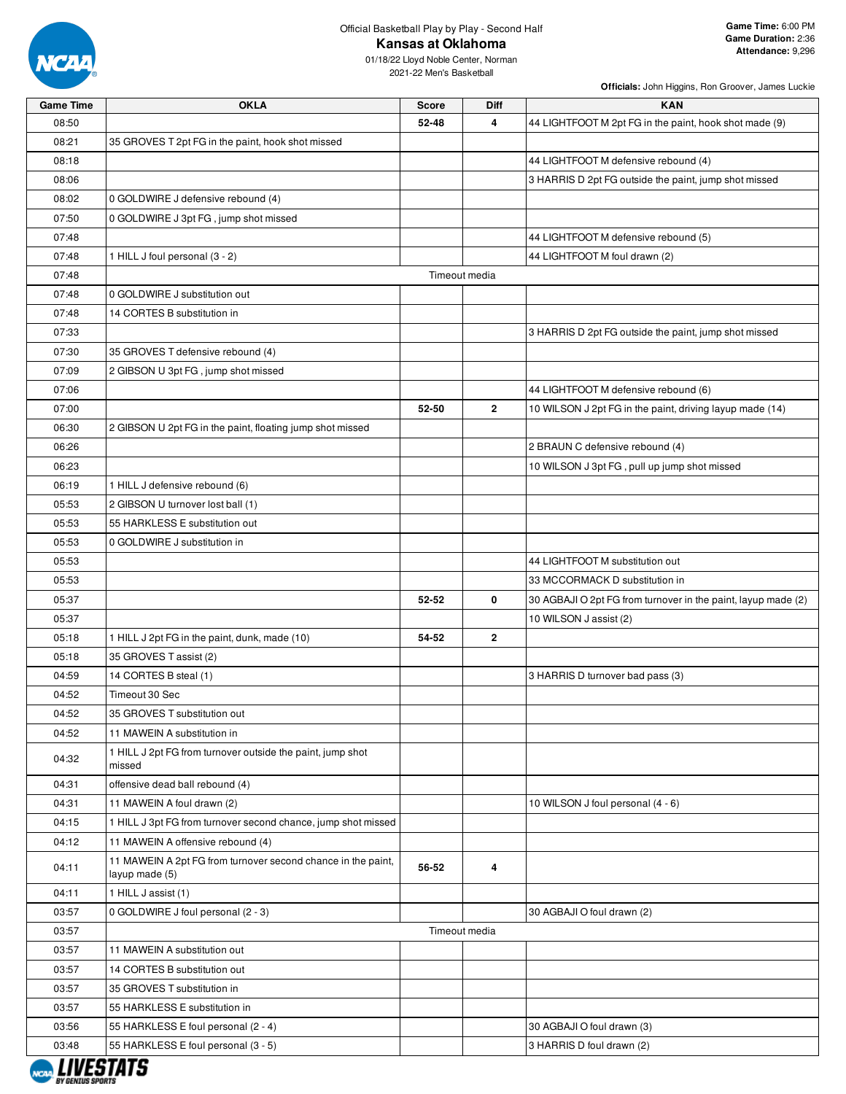

**Officials:** John Higgins, Ron Groover, James Luckie

| <b>Game Time</b> | <b>OKLA</b>                                                                    | <b>Score</b> | Diff           | <b>KAN</b>                                                    |
|------------------|--------------------------------------------------------------------------------|--------------|----------------|---------------------------------------------------------------|
| 08:50            |                                                                                | 52-48        | 4              | 44 LIGHTFOOT M 2pt FG in the paint, hook shot made (9)        |
| 08:21            | 35 GROVES T 2pt FG in the paint, hook shot missed                              |              |                |                                                               |
| 08:18            |                                                                                |              |                | 44 LIGHTFOOT M defensive rebound (4)                          |
| 08:06            |                                                                                |              |                | 3 HARRIS D 2pt FG outside the paint, jump shot missed         |
| 08:02            | 0 GOLDWIRE J defensive rebound (4)                                             |              |                |                                                               |
| 07:50            | 0 GOLDWIRE J 3pt FG, jump shot missed                                          |              |                |                                                               |
| 07:48            |                                                                                |              |                | 44 LIGHTFOOT M defensive rebound (5)                          |
| 07:48            | 1 HILL J foul personal (3 - 2)                                                 |              |                | 44 LIGHTFOOT M foul drawn (2)                                 |
| 07:48            |                                                                                |              | Timeout media  |                                                               |
| 07:48            | 0 GOLDWIRE J substitution out                                                  |              |                |                                                               |
| 07:48            | 14 CORTES B substitution in                                                    |              |                |                                                               |
| 07:33            |                                                                                |              |                | 3 HARRIS D 2pt FG outside the paint, jump shot missed         |
| 07:30            | 35 GROVES T defensive rebound (4)                                              |              |                |                                                               |
| 07:09            | 2 GIBSON U 3pt FG, jump shot missed                                            |              |                |                                                               |
| 07:06            |                                                                                |              |                | 44 LIGHTFOOT M defensive rebound (6)                          |
| 07:00            |                                                                                | 52-50        | $\overline{2}$ | 10 WILSON J 2pt FG in the paint, driving layup made (14)      |
| 06:30            | 2 GIBSON U 2pt FG in the paint, floating jump shot missed                      |              |                |                                                               |
| 06:26            |                                                                                |              |                | 2 BRAUN C defensive rebound (4)                               |
| 06:23            |                                                                                |              |                |                                                               |
|                  |                                                                                |              |                | 10 WILSON J 3pt FG, pull up jump shot missed                  |
| 06:19            | 1 HILL J defensive rebound (6)                                                 |              |                |                                                               |
| 05:53            | 2 GIBSON U turnover lost ball (1)                                              |              |                |                                                               |
| 05:53            | 55 HARKLESS E substitution out                                                 |              |                |                                                               |
| 05:53            | 0 GOLDWIRE J substitution in                                                   |              |                |                                                               |
| 05:53            |                                                                                |              |                | 44 LIGHTFOOT M substitution out                               |
| 05:53            |                                                                                |              |                | 33 MCCORMACK D substitution in                                |
| 05:37            |                                                                                | 52-52        | 0              | 30 AGBAJI O 2pt FG from turnover in the paint, layup made (2) |
| 05:37            |                                                                                |              |                | 10 WILSON J assist (2)                                        |
| 05:18            | 1 HILL J 2pt FG in the paint, dunk, made (10)                                  | 54-52        | $\mathbf{2}$   |                                                               |
| 05:18            | 35 GROVES T assist (2)                                                         |              |                |                                                               |
| 04:59            | 14 CORTES B steal (1)                                                          |              |                | 3 HARRIS D turnover bad pass (3)                              |
| 04:52            | Timeout 30 Sec                                                                 |              |                |                                                               |
| 04:52            | 35 GROVES T substitution out                                                   |              |                |                                                               |
| 04:52            | 11 MAWEIN A substitution in                                                    |              |                |                                                               |
| 04:32            | 1 HILL J 2pt FG from turnover outside the paint, jump shot<br>missed           |              |                |                                                               |
| 04:31            | offensive dead ball rebound (4)                                                |              |                |                                                               |
| 04:31            | 11 MAWEIN A foul drawn (2)                                                     |              |                | 10 WILSON J foul personal (4 - 6)                             |
| 04:15            | 1 HILL J 3pt FG from turnover second chance, jump shot missed                  |              |                |                                                               |
| 04:12            | 11 MAWEIN A offensive rebound (4)                                              |              |                |                                                               |
| 04:11            | 11 MAWEIN A 2pt FG from turnover second chance in the paint,<br>layup made (5) | 56-52        | 4              |                                                               |
| 04:11            | 1 HILL J assist (1)                                                            |              |                |                                                               |
| 03:57            | 0 GOLDWIRE J foul personal (2 - 3)                                             |              |                | 30 AGBAJI O foul drawn (2)                                    |
| 03:57            |                                                                                |              | Timeout media  |                                                               |
| 03:57            | 11 MAWEIN A substitution out                                                   |              |                |                                                               |
| 03:57            | 14 CORTES B substitution out                                                   |              |                |                                                               |
| 03:57            | 35 GROVES T substitution in                                                    |              |                |                                                               |
| 03:57            | 55 HARKLESS E substitution in                                                  |              |                |                                                               |
| 03:56            | 55 HARKLESS E foul personal (2 - 4)                                            |              |                | 30 AGBAJI O foul drawn (3)                                    |
| 03:48            | 55 HARKLESS E foul personal (3 - 5)                                            |              |                | 3 HARRIS D foul drawn (2)                                     |

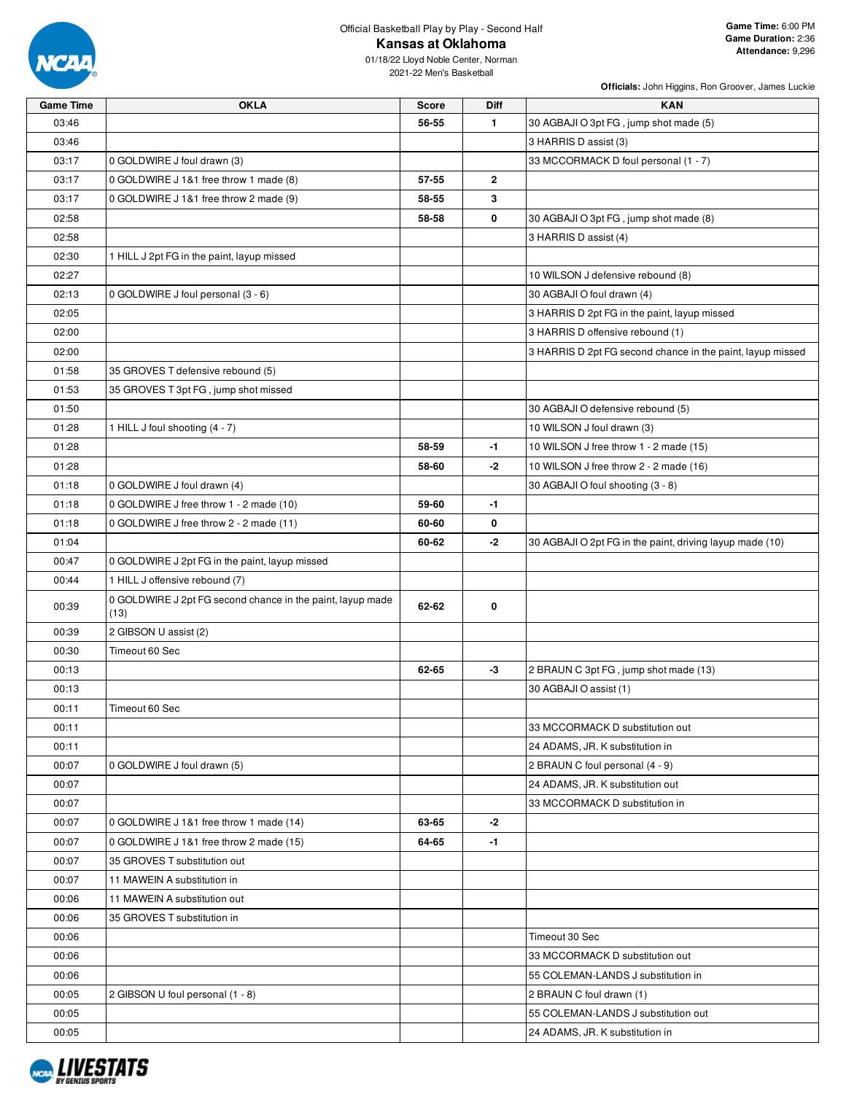

01/18/22 Lloyd Noble Center, Norman 2021-22 Men's Basketball

**Officials:** John Higgins, Ron Groover, James Luckie

**Game Time:** 6:00 PM **Game Duration:** 2:36 **Attendance:** 9,296

| <b>Game Time</b> | <b>OKLA</b>                                                        | <b>Score</b> | <b>Diff</b>    | <b>KAN</b>                                                 |
|------------------|--------------------------------------------------------------------|--------------|----------------|------------------------------------------------------------|
| 03:46            |                                                                    | 56-55        | $\mathbf{1}$   | 30 AGBAJI O 3pt FG, jump shot made (5)                     |
| 03:46            |                                                                    |              |                | 3 HARRIS D assist (3)                                      |
| 03:17            | 0 GOLDWIRE J foul drawn (3)                                        |              |                | 33 MCCORMACK D foul personal (1 - 7)                       |
| 03:17            | 0 GOLDWIRE J 1&1 free throw 1 made (8)                             | 57-55        | $\overline{2}$ |                                                            |
| 03:17            | 0 GOLDWIRE J 1&1 free throw 2 made (9)                             | 58-55        | 3              |                                                            |
| 02:58            |                                                                    | 58-58        | 0              | 30 AGBAJI O 3pt FG, jump shot made (8)                     |
| 02:58            |                                                                    |              |                | 3 HARRIS D assist (4)                                      |
| 02:30            | 1 HILL J 2pt FG in the paint, layup missed                         |              |                |                                                            |
| 02:27            |                                                                    |              |                | 10 WILSON J defensive rebound (8)                          |
| 02:13            | 0 GOLDWIRE J foul personal (3 - 6)                                 |              |                | 30 AGBAJI O foul drawn (4)                                 |
| 02:05            |                                                                    |              |                | 3 HARRIS D 2pt FG in the paint, layup missed               |
| 02:00            |                                                                    |              |                | 3 HARRIS D offensive rebound (1)                           |
| 02:00            |                                                                    |              |                | 3 HARRIS D 2pt FG second chance in the paint, layup missed |
| 01:58            | 35 GROVES T defensive rebound (5)                                  |              |                |                                                            |
| 01:53            | 35 GROVES T 3pt FG, jump shot missed                               |              |                |                                                            |
| 01:50            |                                                                    |              |                | 30 AGBAJI O defensive rebound (5)                          |
| 01:28            | 1 HILL J foul shooting (4 - 7)                                     |              |                | 10 WILSON J foul drawn (3)                                 |
| 01:28            |                                                                    | 58-59        | -1             | 10 WILSON J free throw 1 - 2 made (15)                     |
| 01:28            |                                                                    | 58-60        | -2             | 10 WILSON J free throw 2 - 2 made (16)                     |
| 01:18            | 0 GOLDWIRE J foul drawn (4)                                        |              |                | 30 AGBAJI O foul shooting (3 - 8)                          |
| 01:18            | 0 GOLDWIRE J free throw 1 - 2 made (10)                            | 59-60        | $-1$           |                                                            |
| 01:18            | 0 GOLDWIRE J free throw 2 - 2 made (11)                            | 60-60        | 0              |                                                            |
| 01:04            |                                                                    | 60-62        | -2             | 30 AGBAJI O 2pt FG in the paint, driving layup made (10)   |
| 00:47            | 0 GOLDWIRE J 2pt FG in the paint, layup missed                     |              |                |                                                            |
| 00:44            | 1 HILL J offensive rebound (7)                                     |              |                |                                                            |
| 00:39            | 0 GOLDWIRE J 2pt FG second chance in the paint, layup made<br>(13) | 62-62        | 0              |                                                            |
| 00:39            | 2 GIBSON U assist (2)                                              |              |                |                                                            |
| 00:30            | Timeout 60 Sec                                                     |              |                |                                                            |
| 00:13            |                                                                    | 62-65        | -3             | 2 BRAUN C 3pt FG, jump shot made (13)                      |
| 00:13            |                                                                    |              |                | 30 AGBAJI O assist (1)                                     |
| 00:11            | Timeout 60 Sec                                                     |              |                |                                                            |
| 00:11            |                                                                    |              |                | 33 MCCORMACK D substitution out                            |
| 00:11            |                                                                    |              |                | 24 ADAMS, JR. K substitution in                            |
| 00:07            | 0 GOLDWIRE J foul drawn (5)                                        |              |                | 2 BRAUN C foul personal (4 - 9)                            |
| 00:07            |                                                                    |              |                | 24 ADAMS, JR. K substitution out                           |
| 00:07            |                                                                    |              |                | 33 MCCORMACK D substitution in                             |
| 00:07            | 0 GOLDWIRE J 1&1 free throw 1 made (14)                            | 63-65        | -2             |                                                            |
| 00:07            | 0 GOLDWIRE J 1&1 free throw 2 made (15)                            | 64-65        | $-1$           |                                                            |
| 00:07            | 35 GROVES T substitution out                                       |              |                |                                                            |
| 00:07            | 11 MAWEIN A substitution in                                        |              |                |                                                            |
| 00:06            | 11 MAWEIN A substitution out                                       |              |                |                                                            |
| 00:06            | 35 GROVES T substitution in                                        |              |                |                                                            |
| 00:06            |                                                                    |              |                | Timeout 30 Sec                                             |
| 00:06            |                                                                    |              |                | 33 MCCORMACK D substitution out                            |
| 00:06            |                                                                    |              |                | 55 COLEMAN-LANDS J substitution in                         |
| 00:05            | 2 GIBSON U foul personal (1 - 8)                                   |              |                | 2 BRAUN C foul drawn (1)                                   |
| 00:05            |                                                                    |              |                | 55 COLEMAN-LANDS J substitution out                        |
| 00:05            |                                                                    |              |                | 24 ADAMS, JR. K substitution in                            |
|                  |                                                                    |              |                |                                                            |

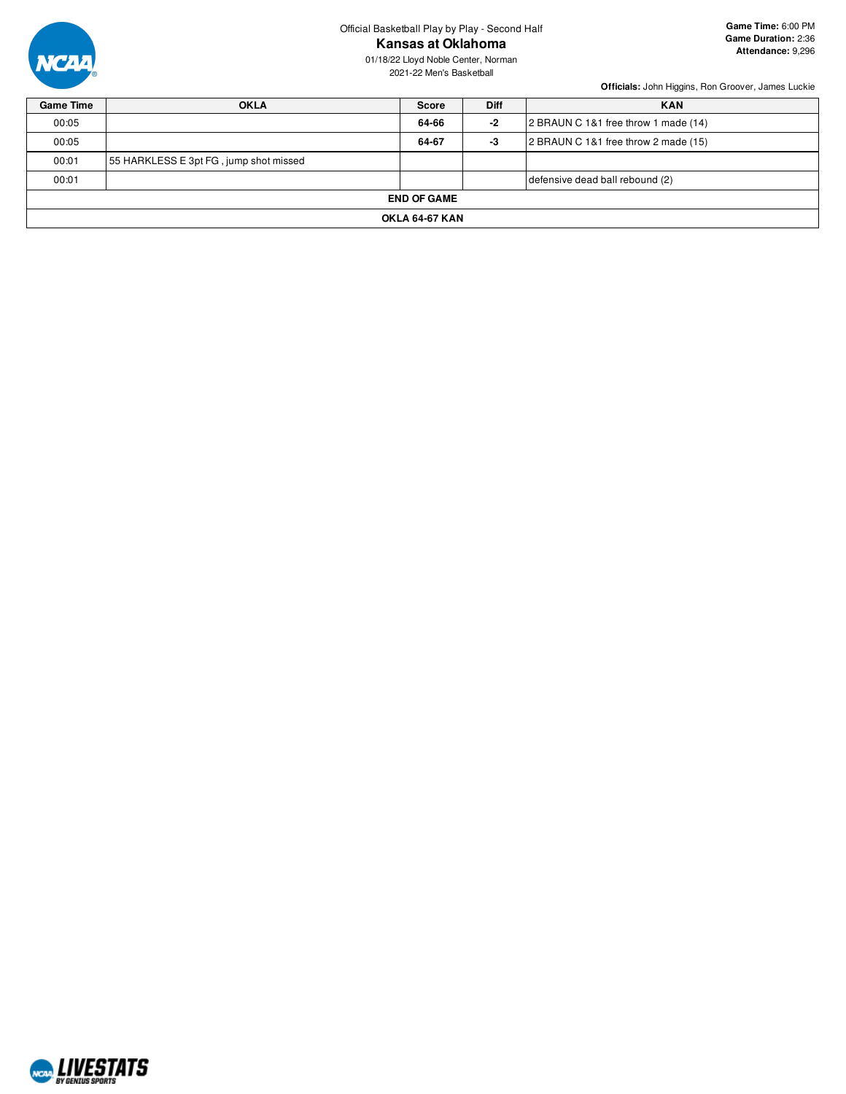

Official Basketball Play by Play - Second Half

**Kansas at Oklahoma**

01/18/22 Lloyd Noble Center, Norman 2021-22 Men's Basketball

| <b>Game Time</b>      | <b>OKLA</b>                            | <b>Score</b> | <b>Diff</b> | <b>KAN</b>                           |  |  |  |  |
|-----------------------|----------------------------------------|--------------|-------------|--------------------------------------|--|--|--|--|
| 00:05                 |                                        | 64-66        | $-2$        | 2 BRAUN C 1&1 free throw 1 made (14) |  |  |  |  |
| 00:05                 |                                        | 64-67        | -3          | 2 BRAUN C 1&1 free throw 2 made (15) |  |  |  |  |
| 00:01                 | 55 HARKLESS E 3pt FG, jump shot missed |              |             |                                      |  |  |  |  |
| 00:01                 | defensive dead ball rebound (2)        |              |             |                                      |  |  |  |  |
| <b>END OF GAME</b>    |                                        |              |             |                                      |  |  |  |  |
| <b>OKLA 64-67 KAN</b> |                                        |              |             |                                      |  |  |  |  |

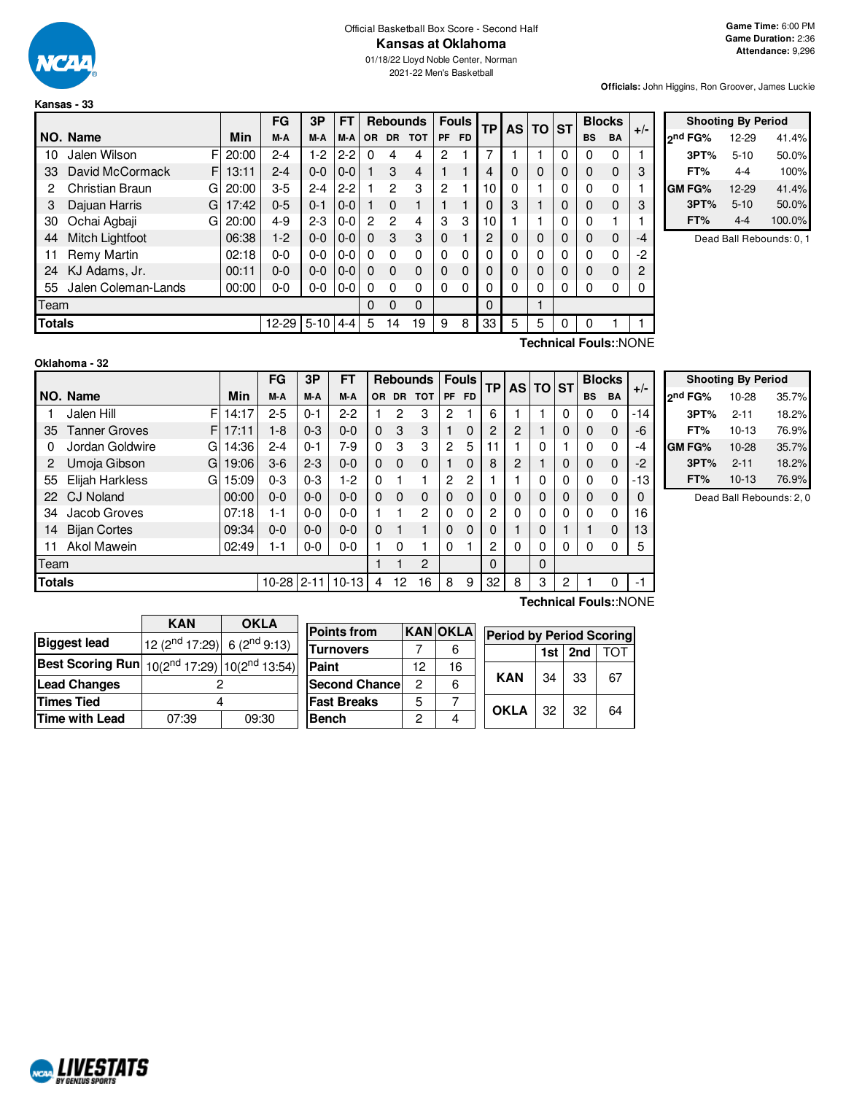

#### Official Basketball Box Score - Second Half **Kansas at Oklahoma**

01/18/22 Lloyd Noble Center, Norman 2021-22 Men's Basketball

**Officials:** John Higgins, Ron Groover, James Luckie

|               |                     |   |            | FG        | 3P       | FT      |          |           | <b>Rebounds</b> |              | <b>Fouls</b> | ТP |          | AS TO ST |             | <b>Blocks</b> |              | $+/-$ |
|---------------|---------------------|---|------------|-----------|----------|---------|----------|-----------|-----------------|--------------|--------------|----|----------|----------|-------------|---------------|--------------|-------|
|               | NO. Name            |   | <b>Min</b> | M-A       | M-A      | M-A     | OR.      | <b>DR</b> | <b>TOT</b>      | <b>PF</b>    | <b>FD</b>    |    |          |          |             | <b>BS</b>     | <b>BA</b>    |       |
| 10            | Jalen Wilson        | F | 20:00      | $2 - 4$   | $1-2$    | $2 - 2$ | 0        | 4         | 4               | 2            |              |    |          |          | 0           | 0             | 0            |       |
| 33            | David McCormack     | F | 13:11      | $2 - 4$   | $0-0$    | $0 - 0$ |          | 3         | 4               |              |              | 4  | $\Omega$ | $\Omega$ | 0           | 0             | $\mathbf 0$  | 3     |
| 2             | Christian Braun     | G | 20:00      | $3-5$     | $2 - 4$  | $2-2$   |          | 2         | 3               | 2            |              | 10 | O        |          | 0           | 0             | $\mathbf{0}$ |       |
| 3             | Dajuan Harris       | G | 17:42      | $0 - 5$   | $0 - 1$  | $0 - 0$ |          | $\Omega$  |                 |              |              | 0  | 3        |          | 0           | $\Omega$      | $\Omega$     | 3     |
| 30            | Ochai Agbaji        | G | 20:00      | $4 - 9$   | $2 - 3$  | $0 - 0$ | 2        | 2         | 4               | 3            | 3            | 10 |          |          | 0           | 0             |              |       |
| 44            | Mitch Lightfoot     |   | 06:38      | $1-2$     | $0 - 0$  | $0-0$   | $\Omega$ | 3         | 3               | $\Omega$     |              | 2  | 0        | $\Omega$ | 0           | $\Omega$      | $\mathbf 0$  | $-4$  |
| 11            | Remy Martin         |   | 02:18      | 0-0       | $0-0$    | $0 - 0$ | $\Omega$ | 0         | 0               | 0            | 0            | 0  | 0        | $\Omega$ | 0           | 0             | $\Omega$     | $-2$  |
| 24            | KJ Adams, Jr.       |   | 00:11      | $0 - 0$   | $0 - 0$  | $0 - 0$ | $\Omega$ | $\Omega$  | 0               | $\Omega$     | $\Omega$     | 0  | 0        | $\Omega$ | $\mathbf 0$ | $\Omega$      | $\Omega$     | 2     |
| 55            | Jalen Coleman-Lands |   | 00:00      | $0 - 0$   | $0-0$    | $0-0$   | $\Omega$ | $\Omega$  | 0               | $\mathbf{0}$ | 0            | 0  | 0        | 0        | 0           | $\Omega$      | 0            |       |
| Team          |                     |   |            |           |          |         | 0        | 0         | 0               |              |              | 0  |          |          |             |               |              |       |
| <b>Totals</b> |                     |   |            | $12 - 29$ | $5 - 10$ | $4 - 4$ | 5        | 14        | 19              | 9            | 8            | 33 | 5        | 5        | 0           | 0             |              |       |

|               | <b>Shooting By Period</b> |        |
|---------------|---------------------------|--------|
| ond FG%       | 12-29                     | 41.4%  |
| 3PT%          | $5 - 10$                  | 50.0%  |
| FT%           | 4-4                       | 100%   |
| <b>GM FG%</b> | 12-29                     | 41.4%  |
| 3PT%          | $5 - 10$                  | 50.0%  |
| FT%           | $4 - 4$                   | 100.0% |

Dead Ball Rebounds: 0, 1

NCAL LIVESTATS

**Technical Fouls:**:NONE

|               |                            |       | FG           | 3P      | FΤ        |           |          | <b>Rebounds   Fouls  </b> |           |           |    |                | <b>TP AS TO ST</b> |   |           |             | <b>Blocks</b> |  | $+/-$ |
|---------------|----------------------------|-------|--------------|---------|-----------|-----------|----------|---------------------------|-----------|-----------|----|----------------|--------------------|---|-----------|-------------|---------------|--|-------|
|               | NO. Name                   | Min   | M-A          | M-A     | M-A       | <b>OR</b> | DR.      | <b>TOT</b>                | <b>PF</b> | <b>FD</b> |    |                |                    |   | <b>BS</b> | <b>BA</b>   |               |  |       |
|               | F<br>Jalen Hill            | 14:17 | $2 - 5$      | 0-1     | 2-2       |           | 2        | 3                         | 2         |           | 6  |                |                    | 0 | 0         | 0           | $-14$         |  |       |
| 35            | <b>Tanner Groves</b><br>F. | 17:11 | $1-8$        | $0 - 3$ | $0 - 0$   | $\Omega$  | 3        | 3                         |           | 0         | 2  | 2              |                    | 0 | 0         | $\mathbf 0$ | -6            |  |       |
| 0             | Jordan Goldwire<br>G       | 14:36 | $2 - 4$      | $0 - 1$ | 7-9       | 0         | 3        | 3                         | 2         | 5         | 11 |                | 0                  |   | 0         | 0           | -4            |  |       |
|               | Umoja Gibson<br>G          | 19:06 | $3-6$        | $2 - 3$ | $0 - 0$   | 0         | $\Omega$ | 0                         |           | 0         | 8  | $\overline{2}$ |                    | 0 | 0         | 0           | -2            |  |       |
| 55            | Elijah Harkless<br>G       | 15:09 | $0 - 3$      | $0 - 3$ | $1 - 2$   | 0         |          |                           | 2         | 2         |    |                | 0                  | 0 | ი         | 0           | -13           |  |       |
| 22            | <b>CJ Noland</b>           | 00:00 | $0 - 0$      | $0 - 0$ | 0-0       | $\Omega$  | $\Omega$ | 0                         | $\Omega$  | $\Omega$  | 0  | 0              | 0                  | 0 | 0         | 0           |               |  |       |
| 34            | Jacob Groves               | 07:18 | $1 - 1$      | $0 - 0$ | $0 - 0$   |           |          | 2                         | $\Omega$  | 0         | 2  | 0              | 0                  | 0 | 0         | 0           | 16            |  |       |
| 14            | <b>Bijan Cortes</b>        | 09:34 | $0 - 0$      | $0 - 0$ | $0 - 0$   | $\Omega$  | 1        |                           | $\Omega$  | $\Omega$  | 0  |                | 0                  |   |           | $\mathbf 0$ | 13            |  |       |
| 11            | Akol Mawein                | 02:49 | 1-1          | $0-0$   | $0 - 0$   |           | 0        |                           | $\Omega$  |           | 2  | 0              | 0                  | 0 | 0         | 0           | 5             |  |       |
| Team          |                            |       |              |         |           |           |          | 2                         |           |           | 0  |                | $\Omega$           |   |           |             |               |  |       |
| <b>Totals</b> |                            |       | $10-28$ 2-11 |         | $10 - 13$ | 4         | 12       | 16                        | 8         | 9         | 32 | 8              | 3                  | 2 |           | 0           | - 1           |  |       |
|               |                            |       |              |         |           |           |          |                           |           |           |    |                |                    |   |           |             |               |  |       |

| <b>Shooting By Period</b> |           |       |  |  |  |  |  |  |
|---------------------------|-----------|-------|--|--|--|--|--|--|
| 2 <sup>nd</sup> FG%       | 10-28     | 35.7% |  |  |  |  |  |  |
| 3PT%                      | $2 - 11$  | 18.2% |  |  |  |  |  |  |
| FT%                       | $10 - 13$ | 76.9% |  |  |  |  |  |  |
| <b>GM FG%</b>             | 10-28     | 35.7% |  |  |  |  |  |  |
| 3PT%                      | $2 - 11$  | 18.2% |  |  |  |  |  |  |
| FT%                       | $10 - 13$ | 76.9% |  |  |  |  |  |  |

Dead Ball Rebounds: 2, 0

|                                                                 | <b>KAN</b>                                                           | <b>OKLA</b> |                      |                |                |                                 |     |     |     |
|-----------------------------------------------------------------|----------------------------------------------------------------------|-------------|----------------------|----------------|----------------|---------------------------------|-----|-----|-----|
|                                                                 |                                                                      |             | <b>Points from</b>   |                | <b>KANOKLA</b> | <b>Period by Period Scoring</b> |     |     |     |
| <b>Biggest lead</b>                                             | $\left  12 \right $ (2 <sup>nd</sup> 17:29) 6 (2 <sup>nd</sup> 9:13) |             | <b>Turnovers</b>     |                | 6              |                                 | 1st | 2nd | TOT |
| <b>Best Scoring Run</b> $10(2^{nd} 17:29)$ $ 10(2^{nd} 13:54) $ |                                                                      |             | Paint                | 12             | 16             |                                 |     |     |     |
| <b>Lead Changes</b>                                             |                                                                      |             | <b>Second Chance</b> | $\mathcal{P}$  | 6              | <b>KAN</b>                      | 34  | 33  | 67  |
| <b>Times Tied</b>                                               |                                                                      |             | <b>Fast Breaks</b>   | 5              |                | <b>OKLA</b>                     |     |     |     |
| Time with Lead                                                  | 07:39                                                                | 09:30       | Bench                | $\overline{2}$ |                |                                 | 32  | 32  | 64  |

**Technical Fouls:**:NONE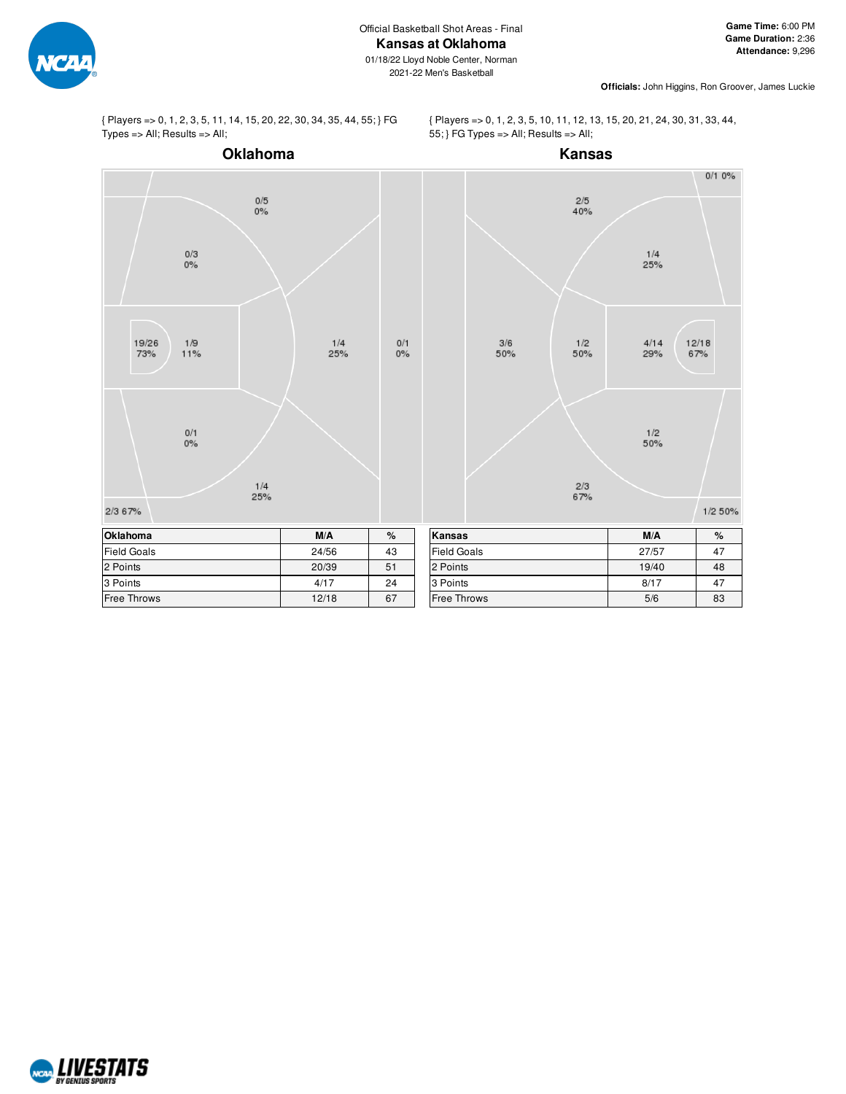01/18/22 Lloyd Noble Center, Norman 2021-22 Men's Basketball

**Officials:** John Higgins, Ron Groover, James Luckie



{ Players => 0, 1, 2, 3, 5, 11, 14, 15, 20, 22, 30, 34, 35, 44, 55; } FG Types => All; Results => All;

{ Players => 0, 1, 2, 3, 5, 10, 11, 12, 13, 15, 20, 21, 24, 30, 31, 33, 44, 55; } FG Types => All; Results => All;



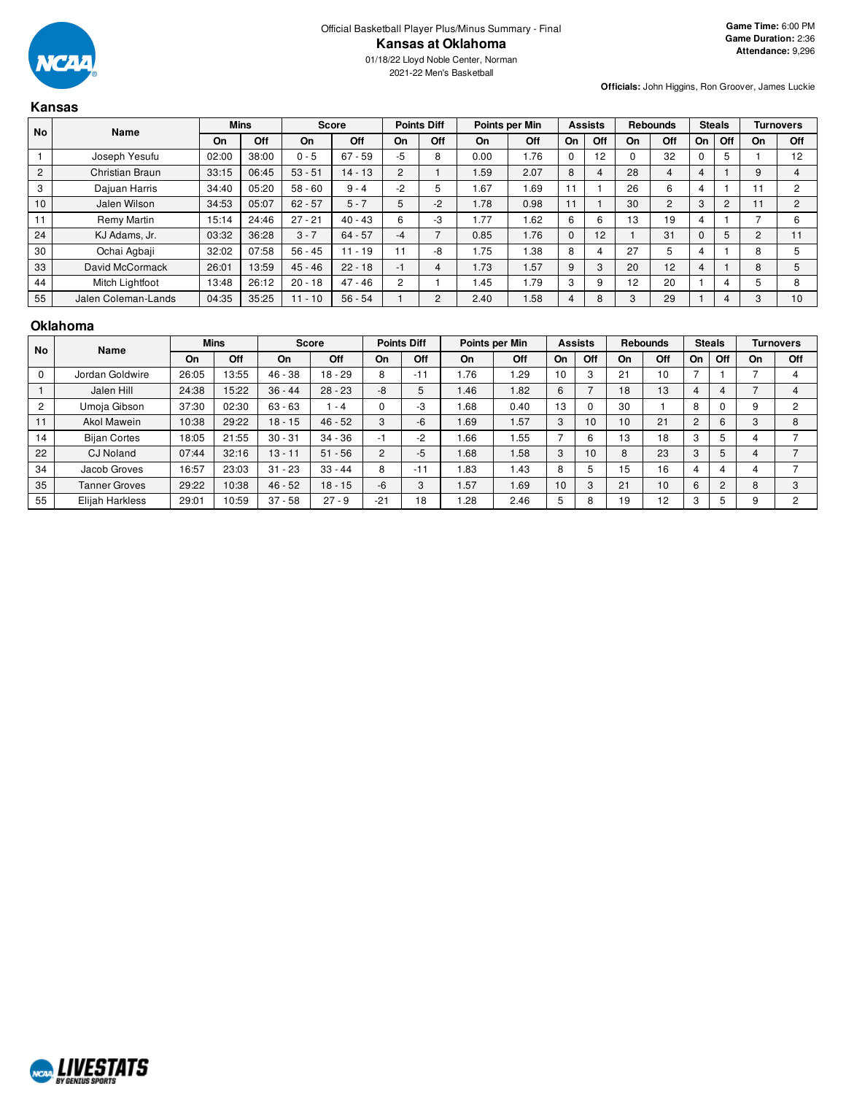

01/18/22 Lloyd Noble Center, Norman 2021-22 Men's Basketball

**Officials:** John Higgins, Ron Groover, James Luckie

|           | Kansas                 |       |             |              |           |                    |                |                |             |                |     |                 |                |               |                |                |     |
|-----------|------------------------|-------|-------------|--------------|-----------|--------------------|----------------|----------------|-------------|----------------|-----|-----------------|----------------|---------------|----------------|----------------|-----|
| <b>No</b> | Name                   |       | <b>Mins</b> | <b>Score</b> |           | <b>Points Diff</b> |                | Points per Min |             | <b>Assists</b> |     | <b>Rebounds</b> |                | <b>Steals</b> |                | Turnovers      |     |
|           |                        | On    | Off         | On           | Off       | On                 | Off            | On             | Off         | On             | Off | On              | Off            | On            | Off            | On             | Off |
|           | Joseph Yesufu          | 02:00 | 38:00       | $0 - 5$      | $67 - 59$ | -5                 | 8              | 0.00           | 1.76        | $\Omega$       | 12  |                 | 32             |               | 5              |                | 12  |
| 2         | Christian Braun        | 33:15 | 06:45       | $53 - 51$    | $14 - 13$ | $\overline{2}$     |                | 1.59           | 2.07        | 8              | 4   | 28              | $\overline{4}$ | 4             |                | 9              | 4   |
| 3         | Dajuan Harris          | 34:40 | 05:20       | $58 - 60$    | $9 - 4$   | $-2$               | 5              | 1.67           | 1.69        | 11             |     | 26              | 6              | 4             |                | 11             | 2   |
| 10        | Jalen Wilson           | 34:53 | 05:07       | $62 - 57$    | $5 - 7$   | 5                  | $-2$           | 1.78           | 0.98        | 11             |     | 30              | 2              | 3             | $\overline{c}$ | 11             | 2   |
| 11        | Remy Martin            | 15:14 | 24:46       | $27 - 21$    | $40 - 43$ | 6                  | -3             | 1.77           | 1.62        | 6              | 6   | 13              | 19             | 4             |                | -              | 6   |
| 24        | KJ Adams, Jr.          | 03:32 | 36:28       | $3 - 7$      | $64 - 57$ | -4                 |                | 0.85           | 1.76        | $\mathbf{0}$   | 12  |                 | 31             |               | 5              | $\overline{c}$ | 11  |
| 30        | Ochai Agbaji           | 32:02 | 07:58       | $56 - 45$    | $11 - 19$ | 11                 | -8             | 1.75           | 1.38        | 8              | 4   | 27              | 5              | 4             |                | 8              | 5   |
| 33        | David McCormack        | 26:01 | 13:59       | $45 - 46$    | $22 - 18$ | $-1$               | 4              | 1.73           | I.57        | 9              | 3   | 20              | 12             | 4             |                | 8              | 5   |
| 44        | <b>Mitch Lightfoot</b> | 13:48 | 26:12       | $20 - 18$    | $47 - 46$ | $\overline{2}$     |                | l.45           | <b>1.79</b> | 3              | 9   | 12              | 20             |               | 4              | 5              | 8   |
| 55        | Jalen Coleman-Lands    | 04:35 | 35:25       | $11 - 10$    | $56 - 54$ |                    | $\overline{2}$ | 2.40           | 1.58        | 4              | 8   | 3               | 29             |               | 4              | 3              | 10  |

#### **Oklahoma**

| <b>No</b>      | Name                 |       | <b>Mins</b> | <b>Points Diff</b><br><b>Score</b> |           |                          | Points per Min |      |      | <b>Assists</b> |          | <b>Rebounds</b> |     | <b>Steals</b>  |        | <b>Turnovers</b> |     |
|----------------|----------------------|-------|-------------|------------------------------------|-----------|--------------------------|----------------|------|------|----------------|----------|-----------------|-----|----------------|--------|------------------|-----|
|                |                      | On    | Off         | On.                                | Off       | On                       | Off            | On   | Off  | On             | Off      | On              | Off | On             | Off    | On               | Off |
|                | Jordan Goldwire      | 26:05 | 13:55       | $46 - 38$                          | $18 - 29$ | 8                        | $-11$          | 1.76 | 1.29 | 10             | 3        | 21              | 10  |                |        |                  |     |
|                | Jalen Hill           | 24:38 | 15:22       | $36 - 44$                          | $28 - 23$ | -8                       | 5              | 1.46 | 1.82 | 6              |          | 18              | 13  | 4              |        |                  |     |
| $\overline{c}$ | Umoja Gibson         | 37:30 | 02:30       | $63 - 63$                          | - 4       | $\Omega$                 | -3             | .68  | 0.40 | 13             | $\Omega$ | 30              |     | 8              |        | 9                | 2   |
| 11             | <b>Akol Mawein</b>   | 10:38 | 29:22       | $18 - 15$                          | $46 - 52$ | 3                        | $-6$           | 1.69 | 1.57 | 3              | 10       | 10              | 21  | $\overline{2}$ | 6      | 3                | 8   |
| 14             | <b>Bijan Cortes</b>  | 18:05 | 21:55       | $30 - 31$                          | $34 - 36$ | $\overline{\phantom{a}}$ | -2             | 1.66 | 1.55 |                | 6        | 13              | 18  | 3              |        |                  |     |
| 22             | <b>CJ</b> Noland     | 07:44 | 32:16       | $13 - 11$                          | $51 - 56$ | 2                        | $-5$           | 1.68 | 1.58 | 3              | 10       | 8               | 23  | 3              |        |                  |     |
| 34             | Jacob Groves         | 16:57 | 23:03       | $31 - 23$                          | $33 - 44$ | 8                        | $-11$          | 1.83 | 1.43 | 8              | 5        | 15              | 16  | 4              |        |                  |     |
| 35             | <b>Tanner Groves</b> | 29:22 | 10:38       | $46 - 52$                          | $18 - 15$ | $-6$                     | 3              | 1.57 | 1.69 | 10             | 3        | 21              | 10  | 6              | $\sim$ | 8                | 3   |
| 55             | Elijah Harkless      | 29:01 | 10:59       | $37 - 58$                          | $27 - 9$  | $-21$                    | 18             | 1.28 | 2.46 | 5              | 8        | 19              | 12  | 3              |        |                  | 2   |

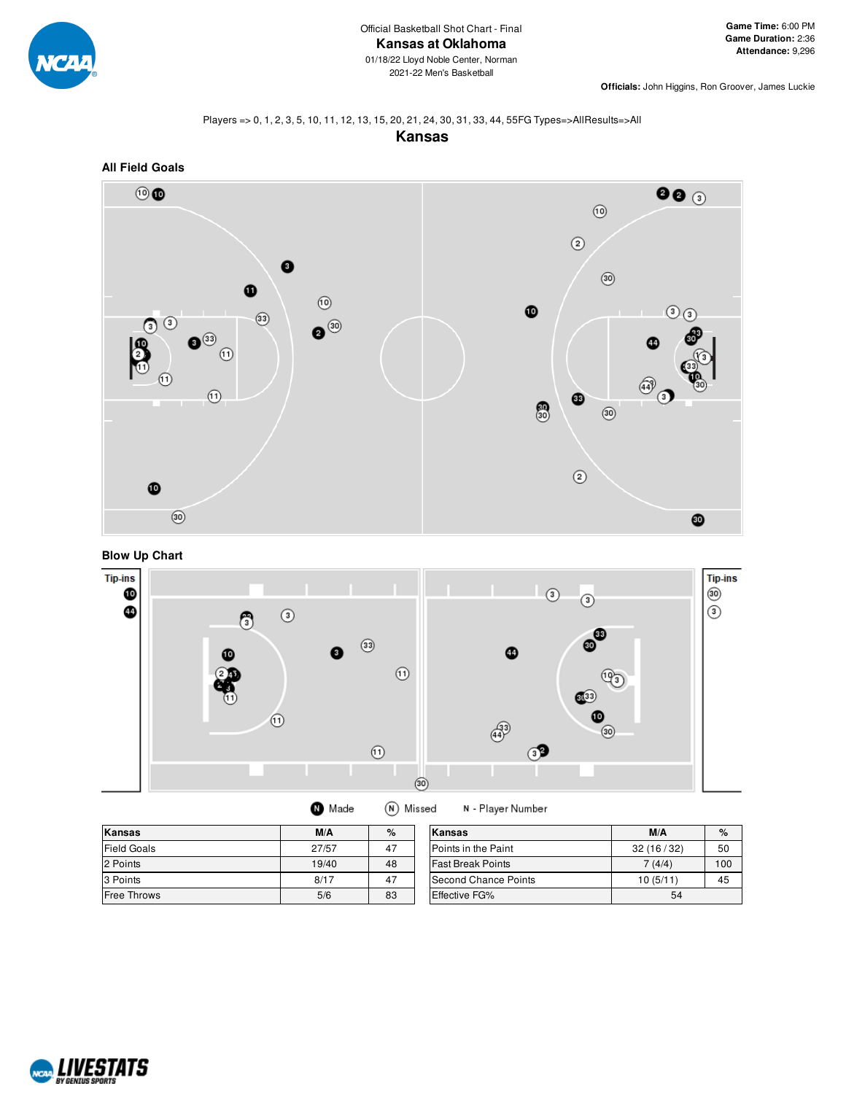

**Officials:** John Higgins, Ron Groover, James Luckie

#### Players => 0, 1, 2, 3, 5, 10, 11, 12, 13, 15, 20, 21, 24, 30, 31, 33, 44, 55FG Types=>AllResults=>All

**Kansas**







| Made | (N) Missed |
|------|------------|
|      |            |

N - Player Number

| Kansas             | M/A   | %  | Kansas                   | M/A       | $\%$ |
|--------------------|-------|----|--------------------------|-----------|------|
| <b>Field Goals</b> | 27/57 | 47 | Points in the Paint      | 32(16/32) | 50   |
| 2 Points           | 19/40 | 48 | <b>Fast Break Points</b> | 7(4/4)    | 100  |
| 3 Points           | 8/17  | 47 | Second Chance Points     | 10(5/11)  | 45   |
| <b>Free Throws</b> | 5/6   | 83 | Effective FG%            | 54        |      |

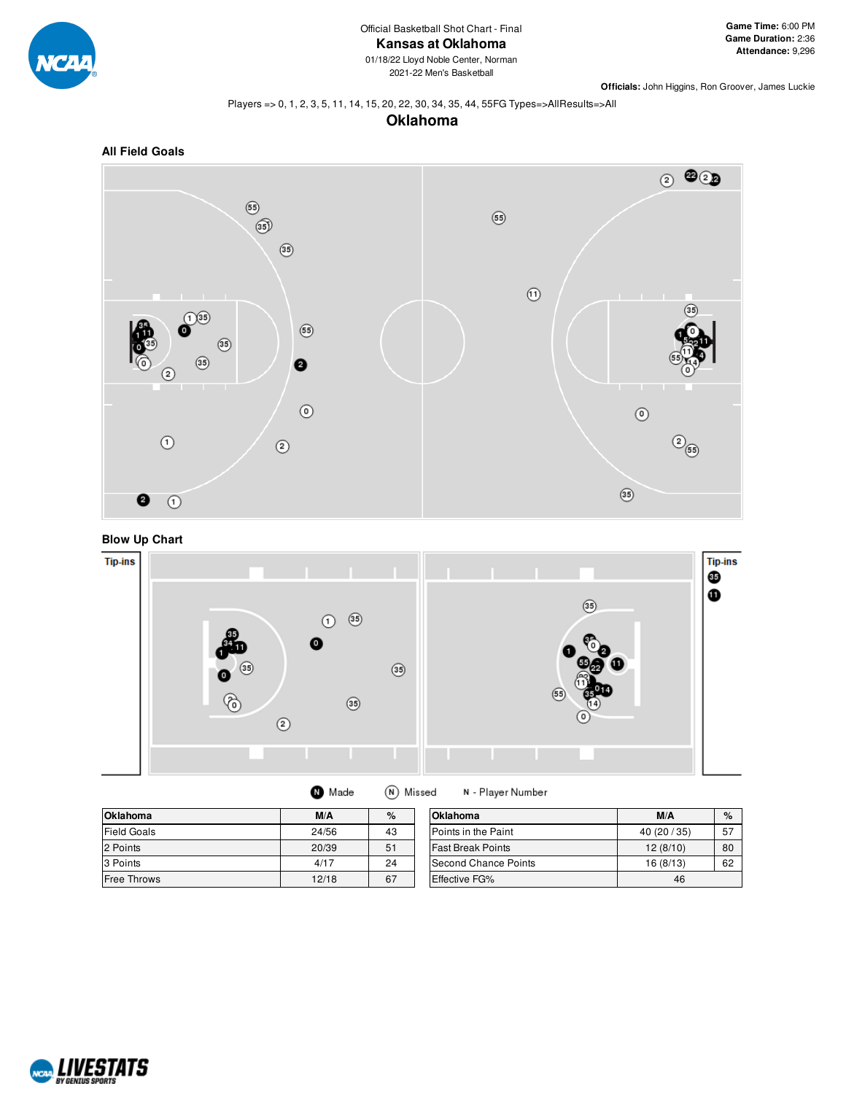

01/18/22 Lloyd Noble Center, Norman 2021-22 Men's Basketball

**Officials:** John Higgins, Ron Groover, James Luckie

#### Players => 0, 1, 2, 3, 5, 11, 14, 15, 20, 22, 30, 34, 35, 44, 55FG Types=>AllResults=>All

## **Oklahoma**







| Made | (N) Missed | N - Player |
|------|------------|------------|
|------|------------|------------|

| <b>Oklahoma</b>    | M/A   | %  | <b>Oklahoma</b>          | M/A       | $\%$ |
|--------------------|-------|----|--------------------------|-----------|------|
| <b>Field Goals</b> | 24/56 | 43 | Points in the Paint      | 40(20/35) | 57   |
| 2 Points           | 20/39 | 51 | <b>Fast Break Points</b> | 12(8/10)  | 80   |
| 3 Points           | 4/17  | 24 | Second Chance Points     | 16(8/13)  | 62   |
| <b>Free Throws</b> | 12/18 | 67 | <b>Effective FG%</b>     | 46        |      |

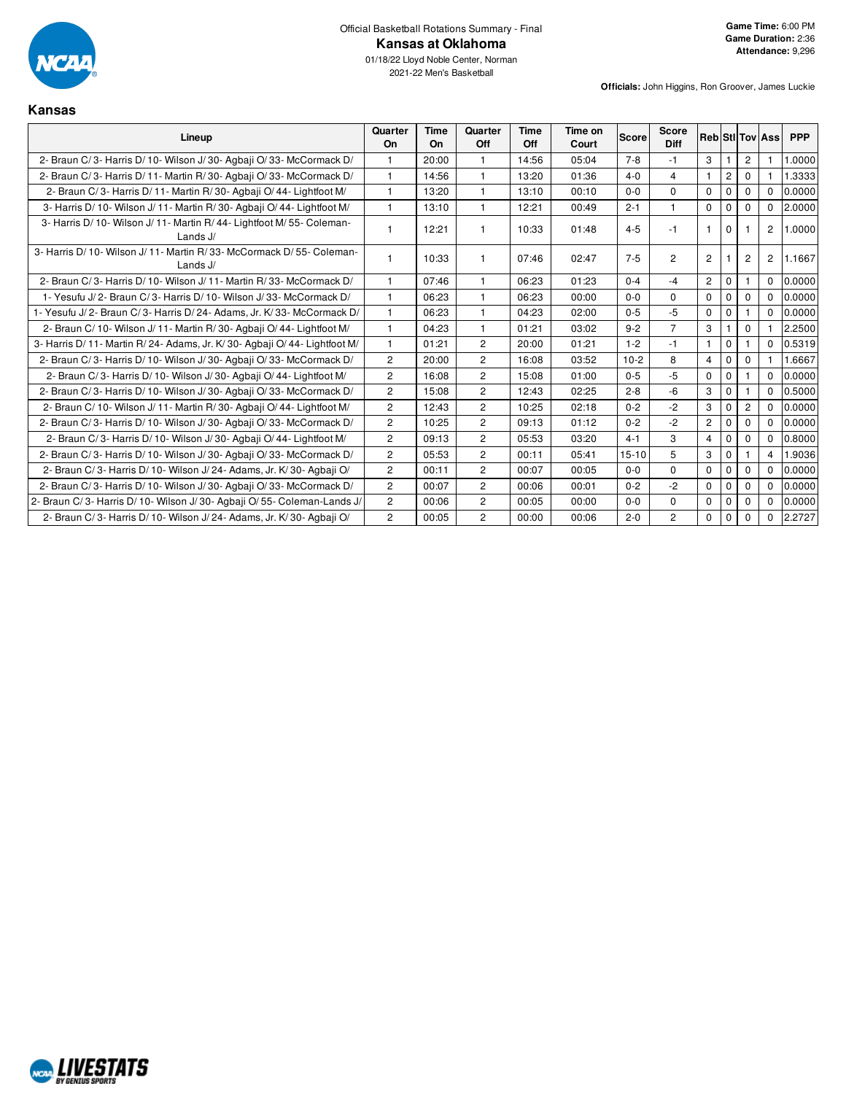

**Kansas**

## Official Basketball Rotations Summary - Final **Kansas at Oklahoma**

| Lineup                                                                               | Quarter<br><b>On</b>  | Time<br>On | Quarter<br>Off | Time<br>Off | Time on<br>Court | <b>Score</b> | <b>Score</b><br><b>Diff</b> |                |                       |                | <b>Reb Stillov Ass</b> | <b>PPP</b> |
|--------------------------------------------------------------------------------------|-----------------------|------------|----------------|-------------|------------------|--------------|-----------------------------|----------------|-----------------------|----------------|------------------------|------------|
| 2- Braun C/3- Harris D/10- Wilson J/30- Agbaii O/33- McCormack D/                    |                       | 20:00      |                | 14:56       | 05:04            | $7 - 8$      | $-1$                        | 3              |                       | $\overline{c}$ |                        | .0000      |
| 2- Braun C/3- Harris D/11- Martin R/30- Agbaii O/33- McCormack D/                    | $\mathbf{1}$          | 14:56      | $\mathbf{1}$   | 13:20       | 01:36            | $4 - 0$      | $\overline{4}$              | 1              | $\mathbf{2}^{\prime}$ | $\Omega$       |                        | .3333      |
| 2- Braun C/3- Harris D/11- Martin R/30- Agbaji O/44- Lightfoot M/                    | 1                     | 13:20      | $\mathbf{1}$   | 13:10       | 00:10            | $0 - 0$      | $\Omega$                    | $\mathbf 0$    | $\mathbf 0$           | $\Omega$       | $\Omega$               | 0.0000     |
| 3- Harris D/ 10- Wilson J/ 11- Martin R/ 30- Agbaii O/ 44- Lightfoot M/              | $\mathbf{1}$          | 13:10      | $\mathbf{1}$   | 12:21       | 00:49            | $2 - 1$      | 1                           | $\mathbf 0$    | $\mathbf 0$           | $\mathbf 0$    | $\mathbf{0}$           | 2.0000     |
| 3- Harris D/ 10- Wilson J/ 11- Martin R/ 44- Lightfoot M/ 55- Coleman-<br>Lands $J/$ |                       | 12:21      |                | 10:33       | 01:48            | $4 - 5$      | $-1$                        | 1              | $\Omega$              |                | $\overline{2}$         | 1.0000     |
| 3- Harris D/10- Wilson J/11- Martin R/33- McCormack D/55- Coleman-<br>Lands $J/$     | $\mathbf{1}$          | 10:33      |                | 07:46       | 02:47            | $7-5$        | $\overline{c}$              | 2              |                       | $\overline{c}$ | $\overline{2}$         | 1.1667     |
| 2- Braun C/3- Harris D/10- Wilson J/11- Martin R/33- McCormack D/                    | $\mathbf{1}$          | 07:46      |                | 06:23       | 01:23            | $0 - 4$      | $-4$                        | $\overline{2}$ | $\mathbf 0$           |                | $\mathbf{0}$           | 0.0000     |
| 1- Yesufu J/2- Braun C/3- Harris D/10- Wilson J/33- McCormack D/                     | $\mathbf{1}$          | 06:23      | $\mathbf{1}$   | 06:23       | 00:00            | $0 - 0$      | $\Omega$                    | $\mathbf 0$    | $\mathbf 0$           | $\mathbf 0$    | $\Omega$               | 0.0000     |
| 1- Yesufu J/2- Braun C/3- Harris D/24- Adams, Jr. K/33- McCormack D/                 | $\mathbf{1}$          | 06:23      | $\mathbf{1}$   | 04:23       | 02:00            | $0 - 5$      | $-5$                        | $\mathbf 0$    | 0                     |                | $\Omega$               | 0.0000     |
| 2- Braun C/ 10- Wilson J/ 11- Martin R/ 30- Agbaii O/ 44- Lightfoot M/               | $\mathbf{1}$          | 04:23      | $\mathbf{1}$   | 01:21       | 03:02            | $9 - 2$      | $\overline{7}$              | 3              |                       | $\mathbf 0$    |                        | 2.2500     |
| 3- Harris D/11- Martin R/24- Adams, Jr. K/30- Agbaji O/44- Lightfoot M/              | $\mathbf{1}$          | 01:21      | $\overline{c}$ | 20:00       | 01:21            | $1 - 2$      | $-1$                        | 1              | $\mathbf 0$           |                | $\Omega$               | 0.5319     |
| 2- Braun C/3- Harris D/10- Wilson J/30- Agbaji O/33- McCormack D/                    | 2                     | 20:00      | $\overline{c}$ | 16:08       | 03:52            | $10-2$       | 8                           | $\overline{4}$ | $\mathbf 0$           | $\mathbf{0}$   |                        | .6667      |
| 2- Braun C/3- Harris D/10- Wilson J/30- Agbaji O/44- Lightfoot M/                    | $\overline{c}$        | 16:08      | $\overline{c}$ | 15:08       | 01:00            | $0 - 5$      | $-5$                        | $\mathbf 0$    | $\mathbf 0$           |                | $\Omega$               | 0.0000     |
| 2- Braun C/3- Harris D/10- Wilson J/30- Agbaii O/33- McCormack D/                    | $\mathbf{2}$          | 15:08      | $\overline{c}$ | 12:43       | 02:25            | $2 - 8$      | -6                          | 3              | $\mathbf 0$           |                | $\Omega$               | 0.5000     |
| 2- Braun C/ 10- Wilson J/ 11- Martin R/ 30- Agbaji O/ 44- Lightfoot M/               | $\mathbf{2}$          | 12:43      | $\overline{c}$ | 10:25       | 02:18            | $0 - 2$      | $-2$                        | 3              | $\mathbf 0$           | $\overline{c}$ | $\Omega$               | 0.0000     |
| 2- Braun C/3- Harris D/10- Wilson J/30- Agbaii O/33- McCormack D/                    | $\overline{c}$        | 10:25      | $\overline{c}$ | 09:13       | 01:12            | $0 - 2$      | $-2$                        | $\mathbf{2}$   | $\mathbf 0$           | $\mathbf 0$    | $\Omega$               | 0.0000     |
| 2- Braun C/3- Harris D/10- Wilson J/30- Agbaji O/44- Lightfoot M/                    | $\overline{2}$        | 09:13      | $\overline{2}$ | 05:53       | 03:20            | $4 - 1$      | 3                           | $\overline{4}$ | $\mathbf 0$           | $\mathbf 0$    | $\mathbf 0$            | 0.8000     |
| 2- Braun C/3- Harris D/10- Wilson J/30- Agbaji O/33- McCormack D/                    | $\mathbf{2}^{\prime}$ | 05:53      | $\overline{2}$ | 00:11       | 05:41            | $15 - 10$    | 5                           | 3              | $\mathbf 0$           |                | $\overline{4}$         | 1.9036     |
| 2- Braun C/3- Harris D/10- Wilson J/24- Adams, Jr. K/30- Agbaji O/                   | $\mathbf{2}^{\prime}$ | 00:11      | $\overline{2}$ | 00:07       | 00:05            | $0 - 0$      | $\Omega$                    | 0              | 0                     | 0              | $\Omega$               | 0.0000     |
| 2- Braun C/3- Harris D/10- Wilson J/30- Agbaii O/33- McCormack D/                    | $\overline{2}$        | 00:07      | $\overline{2}$ | 00:06       | 00:01            | $0 - 2$      | $-2$                        | $\mathbf 0$    | 0                     | $\Omega$       | $\Omega$               | 0.0000     |
| 2- Braun C/3- Harris D/10- Wilson J/30- Agbaji O/55- Coleman-Lands J/                | $\overline{c}$        | 00:06      | 2              | 00:05       | 00:00            | $0 - 0$      | 0                           | 0              | $\mathbf 0$           | $\mathbf 0$    | $\mathbf 0$            | 0.0000     |
| 2- Braun C/3- Harris D/10- Wilson J/24- Adams, Jr. K/30- Agbaji O/                   | 2                     | 00:05      | $\overline{c}$ | 00:00       | 00:06            | $2 - 0$      | $\overline{c}$              | 0              | 0                     | 0              | 0                      | 2.2727     |

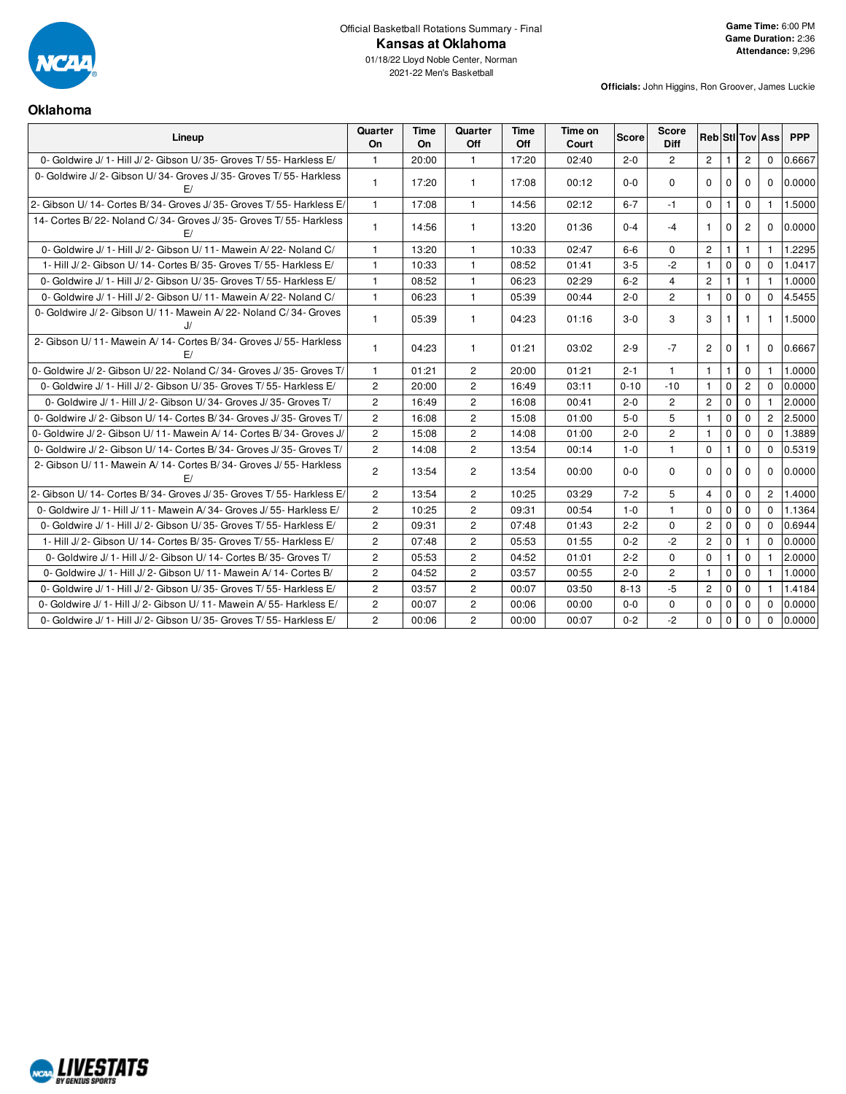

## Official Basketball Rotations Summary - Final **Kansas at Oklahoma**

**Officials:** John Higgins, Ron Groover, James Luckie

### **Oklahoma**

| Lineup                                                                 | Quarter<br>On  | Time<br><b>On</b> | Quarter<br><b>Off</b> | Time<br>Off | Time on<br>Court | Score    | Score<br><b>Diff</b> | <b>Reb</b> Sti Tov Ass |                |                |                | <b>PPP</b> |
|------------------------------------------------------------------------|----------------|-------------------|-----------------------|-------------|------------------|----------|----------------------|------------------------|----------------|----------------|----------------|------------|
| 0- Goldwire J/1- Hill J/2- Gibson U/35- Groves T/55- Harkless E/       | $\mathbf{1}$   | 20:00             | $\mathbf{1}$          | 17:20       | 02:40            | $2 - 0$  | $\overline{2}$       | $\overline{2}$         | $\overline{1}$ | $\overline{2}$ | $\Omega$       | 0.6667     |
| 0- Goldwire J/2- Gibson U/34- Groves J/35- Groves T/55- Harkless<br>E/ | $\mathbf{1}$   | 17:20             | $\mathbf{1}$          | 17:08       | 00:12            | $0 - 0$  | $\Omega$             | $\Omega$               | $\Omega$       | $\Omega$       | $\Omega$       | 0.0000     |
| 2- Gibson U/14- Cortes B/34- Groves J/35- Groves T/55- Harkless E/     | $\mathbf{1}$   | 17:08             | $\mathbf{1}$          | 14:56       | 02:12            | $6 - 7$  | $-1$                 | $\Omega$               | $\mathbf{1}$   | $\Omega$       | $\mathbf{1}$   | 1.5000     |
| 14- Cortes B/22- Noland C/34- Groves J/35- Groves T/55- Harkless<br>F/ | -1             | 14:56             | $\mathbf{1}$          | 13:20       | 01:36            | $0 - 4$  | $-4$                 | $\mathbf{1}$           | $\Omega$       | $\overline{2}$ | $\Omega$       | 0.0000     |
| 0- Goldwire J/1- Hill J/2- Gibson U/11- Mawein A/22- Noland C/         | $\mathbf{1}$   | 13:20             | $\mathbf{1}$          | 10:33       | 02:47            | $6 - 6$  | $\Omega$             | $\mathbf{2}$           |                | 1              |                | 1.2295     |
| 1- Hill J/2- Gibson U/14- Cortes B/35- Groves T/55- Harkless E/        | $\mathbf{1}$   | 10:33             | $\mathbf{1}$          | 08:52       | 01:41            | $3-5$    | $-2$                 | $\mathbf{1}$           | $\mathbf 0$    | $\Omega$       | $\Omega$       | 1.0417     |
| 0- Goldwire J/ 1- Hill J/ 2- Gibson U/ 35- Groves T/ 55- Harkless E/   | $\mathbf{1}$   | 08:52             | $\mathbf{1}$          | 06:23       | 02:29            | $6 - 2$  | $\overline{4}$       | $\overline{c}$         | $\mathbf{1}$   | $\mathbf{1}$   | $\mathbf{1}$   | 1.0000     |
| 0- Goldwire J/1- Hill J/2- Gibson U/11- Mawein A/22- Noland C/         | $\mathbf{1}$   | 06:23             | $\mathbf{1}$          | 05:39       | 00:44            | $2 - 0$  | $\overline{2}$       | $\mathbf{1}$           | $\mathbf 0$    | $\Omega$       | $\Omega$       | 4.5455     |
| 0- Goldwire J/2- Gibson U/11- Mawein A/22- Noland C/34- Groves<br>J    |                | 05:39             | $\mathbf{1}$          | 04:23       | 01:16            | $3 - 0$  | 3                    | 3                      |                |                | 1              | 1.5000     |
| 2- Gibson U/11- Mawein A/14- Cortes B/34- Groves J/55- Harkless<br>F/  | $\mathbf{1}$   | 04:23             | $\mathbf{1}$          | 01:21       | 03:02            | $2 - 9$  | $-7$                 | $\overline{2}$         | $\Omega$       | 1.             | $\Omega$       | 0.6667     |
| 0- Goldwire J/2- Gibson U/22- Noland C/34- Groves J/35- Groves T/      | $\overline{1}$ | 01:21             | $\overline{2}$        | 20:00       | 01:21            | $2 - 1$  | $\mathbf{1}$         | $\mathbf{1}$           | $\mathbf{1}$   | $\Omega$       | $\mathbf{1}$   | 1.0000     |
| 0- Goldwire J/ 1- Hill J/ 2- Gibson U/ 35- Groves T/ 55- Harkless E/   | $\overline{c}$ | 20:00             | $\overline{2}$        | 16:49       | 03:11            | $0 - 10$ | $-10$                | $\mathbf{1}$           | $\mathbf 0$    | $\overline{2}$ | $\Omega$       | 0.0000     |
| 0- Goldwire J/ 1- Hill J/ 2- Gibson U/ 34- Groves J/ 35- Groves T/     | $\overline{2}$ | 16:49             | $\overline{2}$        | 16:08       | 00:41            | $2 - 0$  | $\overline{2}$       | $\overline{2}$         | $\mathbf 0$    | $\Omega$       | $\mathbf{1}$   | 2.0000     |
| 0- Goldwire J/ 2- Gibson U/ 14- Cortes B/ 34- Groves J/ 35- Groves T/  | $\overline{2}$ | 16:08             | $\overline{2}$        | 15:08       | 01:00            | $5-0$    | 5                    | $\mathbf{1}$           | $\mathbf 0$    | $\mathbf 0$    | $\overline{2}$ | 2.5000     |
| 0- Goldwire J/ 2- Gibson U/ 11- Mawein A/ 14- Cortes B/ 34- Groves J/  | $\overline{2}$ | 15:08             | $\mathbf{2}^{\prime}$ | 14:08       | 01:00            | $2 - 0$  | $\overline{2}$       | $\mathbf{1}$           | $\Omega$       | $\Omega$       | $\Omega$       | 1.3889     |
| 0- Goldwire J/2- Gibson U/14- Cortes B/34- Groves J/35- Groves T/      | $\overline{2}$ | 14:08             | $\overline{2}$        | 13:54       | 00:14            | $1 - 0$  | $\mathbf{1}$         | $\Omega$               | $\mathbf{1}$   | $\mathbf 0$    | $\Omega$       | 0.5319     |
| 2- Gibson U/11- Mawein A/14- Cortes B/34- Groves J/55- Harkless<br>E/  | $\overline{2}$ | 13:54             | $\overline{c}$        | 13:54       | 00:00            | $0-0$    | $\Omega$             | $\Omega$               | $\Omega$       | $\Omega$       | $\Omega$       | 0.0000     |
| 2- Gibson U/14- Cortes B/34- Groves J/35- Groves T/55- Harkless E/     | $\overline{2}$ | 13:54             | $\overline{2}$        | 10:25       | 03:29            | $7 - 2$  | 5                    | $\overline{4}$         | $\Omega$       | $\Omega$       | $\overline{2}$ | 1.4000     |
| 0- Goldwire J/ 1- Hill J/ 11- Mawein A/ 34- Groves J/ 55- Harkless E/  | $\overline{2}$ | 10:25             | $\overline{2}$        | 09:31       | 00:54            | $1 - 0$  | $\mathbf{1}$         | $\Omega$               | $\mathbf 0$    | $\mathbf 0$    | $\Omega$       | 1.1364     |
| 0- Goldwire J/ 1- Hill J/ 2- Gibson U/ 35- Groves T/ 55- Harkless E/   | 2              | 09:31             | $\overline{2}$        | 07:48       | 01:43            | $2 - 2$  | $\Omega$             | $\overline{2}$         | $\mathbf 0$    | $\mathbf 0$    | $\Omega$       | 0.6944     |
| 1- Hill J/2- Gibson U/14- Cortes B/35- Groves T/55- Harkless E/        | $\overline{2}$ | 07:48             | $\overline{2}$        | 05:53       | 01:55            | $0 - 2$  | $-2$                 | $\overline{2}$         | $\Omega$       | 1              | $\Omega$       | 0.0000     |
| 0- Goldwire J/ 1- Hill J/ 2- Gibson U/ 14- Cortes B/ 35- Groves T/     | $\overline{2}$ | 05:53             | $\overline{2}$        | 04:52       | 01:01            | $2 - 2$  | $\Omega$             | $\Omega$               | $\mathbf{1}$   | $\mathbf 0$    |                | 2.0000     |
| 0- Goldwire J/ 1- Hill J/ 2- Gibson U/ 11- Mawein A/ 14- Cortes B/     | 2              | 04:52             | $\overline{2}$        | 03:57       | 00:55            | $2 - 0$  | $\overline{2}$       | $\mathbf{1}$           | $\mathbf 0$    | $\Omega$       | $\mathbf{1}$   | 1.0000     |
| 0- Goldwire J/ 1- Hill J/ 2- Gibson U/ 35- Groves T/ 55- Harkless E/   | $\overline{2}$ | 03:57             | $\overline{2}$        | 00:07       | 03:50            | $8 - 13$ | $-5$                 | $\overline{2}$         | $\Omega$       | $\Omega$       | $\mathbf{1}$   | 1.4184     |
| 0- Goldwire J/ 1- Hill J/ 2- Gibson U/ 11- Mawein A/ 55- Harkless E/   | $\overline{2}$ | 00:07             | $\overline{2}$        | 00:06       | 00:00            | $0 - 0$  | $\Omega$             | $\Omega$               | $\mathbf 0$    | $\Omega$       | $\Omega$       | 0.0000     |
| 0- Goldwire J/ 1- Hill J/ 2- Gibson U/ 35- Groves T/ 55- Harkless E/   | $\overline{2}$ | 00:06             | $\overline{2}$        | 00:00       | 00:07            | $0 - 2$  | $-2$                 | $\Omega$               | $\Omega$       | $\Omega$       | $\Omega$       | 0.0000     |

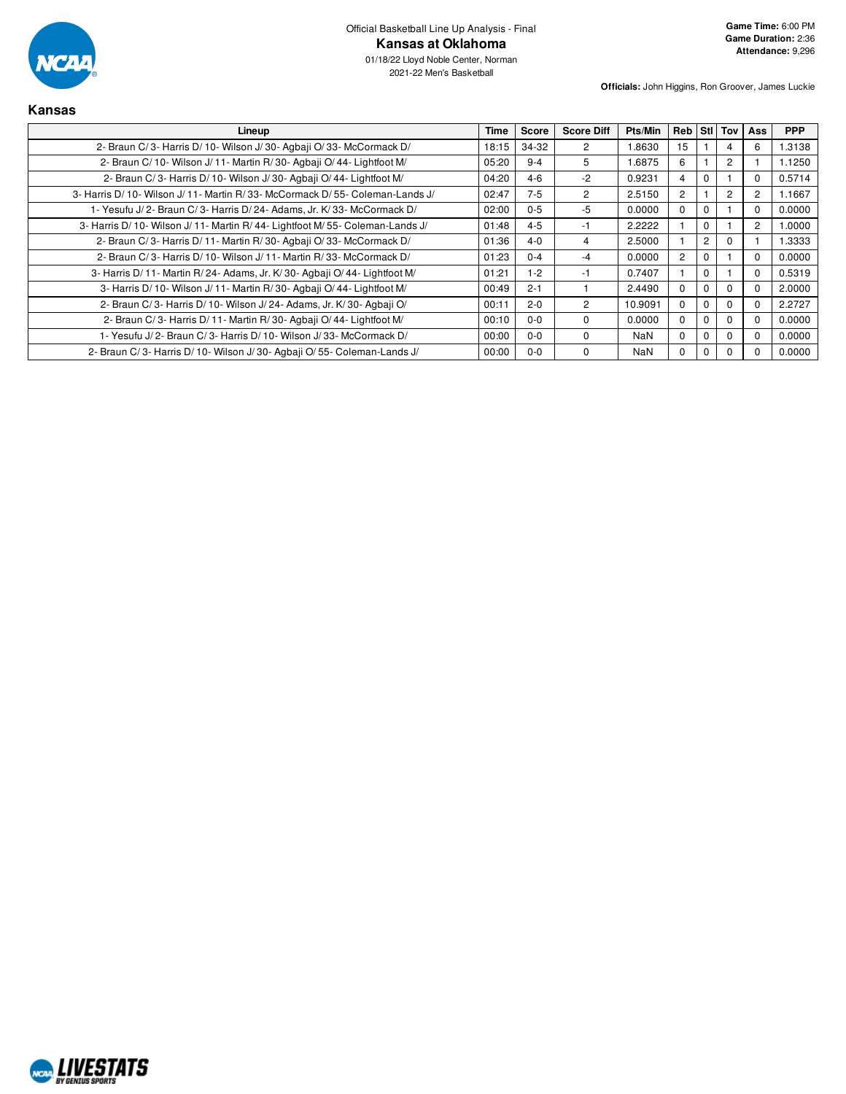

| <b>Kansas</b>                                                                  |       |         |                   |            |                       |                |                |                |            |
|--------------------------------------------------------------------------------|-------|---------|-------------------|------------|-----------------------|----------------|----------------|----------------|------------|
| Lineup                                                                         | Time  | Score   | <b>Score Diff</b> | Pts/Min    | Reb Still             |                | Tov            | Ass            | <b>PPP</b> |
| 2- Braun C/3- Harris D/10- Wilson J/30- Agbaji O/33- McCormack D/              | 18:15 | 34-32   | 2                 | 1.8630     | 15                    |                | 4              | 6              | 1.3138     |
| 2- Braun C/ 10- Wilson J/ 11- Martin R/ 30- Agbaii O/ 44- Lightfoot M/         | 05:20 | $9 - 4$ | 5                 | 1.6875     | 6                     |                | $\overline{c}$ |                | 1.1250     |
| 2- Braun C/3- Harris D/10- Wilson J/30- Agbaii O/44- Lightfoot M/              | 04:20 | $4-6$   | $-2$              | 0.9231     | 4                     | $\Omega$       |                | 0              | 0.5714     |
| 3- Harris D/ 10- Wilson J/ 11- Martin R/ 33- McCormack D/ 55- Coleman-Lands J/ | 02:47 | $7 - 5$ | 2                 | 2.5150     | $\mathbf{2}^{\prime}$ |                | $\overline{c}$ | 2              | 1.1667     |
| 1- Yesufu J/ 2- Braun C/ 3- Harris D/ 24- Adams, Jr. K/ 33- McCormack D/       | 02:00 | $0 - 5$ | $-5$              | 0.0000     | $\Omega$              | $\Omega$       |                |                | 0.0000     |
| 3- Harris D/10- Wilson J/11- Martin R/44- Lightfoot M/55- Coleman-Lands J/     | 01:48 | $4 - 5$ | -1                | 2.2222     |                       | $\Omega$       |                | $\overline{2}$ | 1.0000     |
| 2- Braun C/3- Harris D/11- Martin R/30- Agbaji O/33- McCormack D/              | 01:36 | $4 - 0$ | 4                 | 2.5000     |                       | $\overline{c}$ | $\Omega$       |                | 1.3333     |
| 2- Braun C/3- Harris D/10- Wilson J/11- Martin R/33- McCormack D/              | 01:23 | $0 - 4$ | $-4$              | 0.0000     | $\mathbf{2}^{\circ}$  | 0              |                | 0              | 0.0000     |
| 3- Harris D/11- Martin R/24- Adams, Jr. K/30- Agbaji O/44- Lightfoot M/        | 01:21 | $1 - 2$ | -1                | 0.7407     |                       | 0              |                | 0              | 0.5319     |
| 3- Harris D/ 10- Wilson J/ 11- Martin R/ 30- Agbaji O/ 44- Lightfoot M/        | 00:49 | $2 - 1$ |                   | 2.4490     | $\Omega$              | $\Omega$       | $\Omega$       | 0              | 2.0000     |
| 2- Braun C/3- Harris D/10- Wilson J/24- Adams, Jr. K/30- Agbaji O/             | 00:11 | $2 - 0$ | $\overline{2}$    | 10.9091    | 0                     | $\Omega$       | $\Omega$       |                | 2.2727     |
| 2- Braun C/3- Harris D/11- Martin R/30- Agbaii O/44- Lightfoot M/              | 00:10 | $0 - 0$ | $\Omega$          | 0.0000     | $\Omega$              | 0              | $\Omega$       |                | 0.0000     |
| 1- Yesufu J/2- Braun C/3- Harris D/10- Wilson J/33- McCormack D/               | 00:00 | $0 - 0$ | $\Omega$          | <b>NaN</b> | $\Omega$              | 0              | $\Omega$       | O              | 0.0000     |
| 2- Braun C/3- Harris D/10- Wilson J/30- Agbaii O/55- Coleman-Lands J/          | 00:00 | $0-0$   | $\Omega$          | NaN        | $\Omega$              | 0              | $\Omega$       |                | 0.0000     |